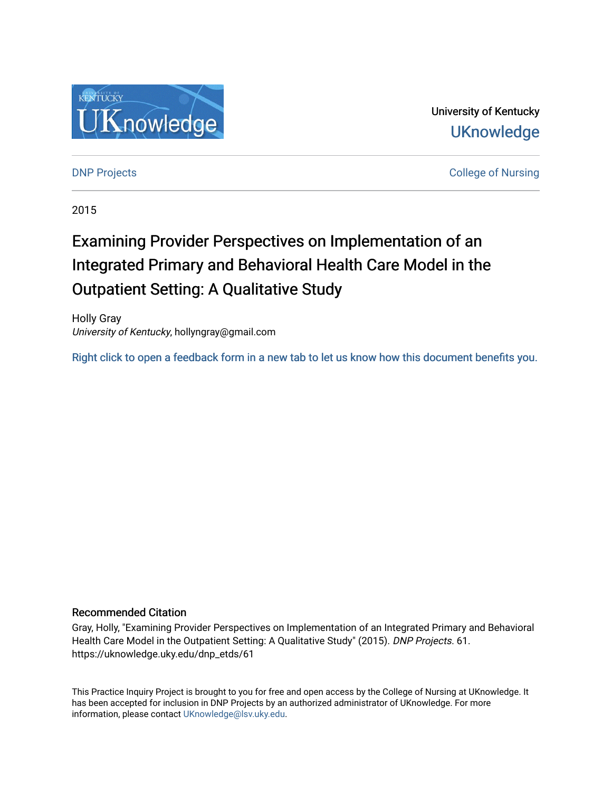

University of Kentucky **UKnowledge** 

**DNP Projects** College of Nursing

2015

## Examining Provider Perspectives on Implementation of an Integrated Primary and Behavioral Health Care Model in the Outpatient Setting: A Qualitative Study

Holly Gray University of Kentucky, hollyngray@gmail.com

[Right click to open a feedback form in a new tab to let us know how this document benefits you.](https://uky.az1.qualtrics.com/jfe/form/SV_9mq8fx2GnONRfz7)

#### Recommended Citation

Gray, Holly, "Examining Provider Perspectives on Implementation of an Integrated Primary and Behavioral Health Care Model in the Outpatient Setting: A Qualitative Study" (2015). DNP Projects. 61. https://uknowledge.uky.edu/dnp\_etds/61

This Practice Inquiry Project is brought to you for free and open access by the College of Nursing at UKnowledge. It has been accepted for inclusion in DNP Projects by an authorized administrator of UKnowledge. For more information, please contact [UKnowledge@lsv.uky.edu](mailto:UKnowledge@lsv.uky.edu).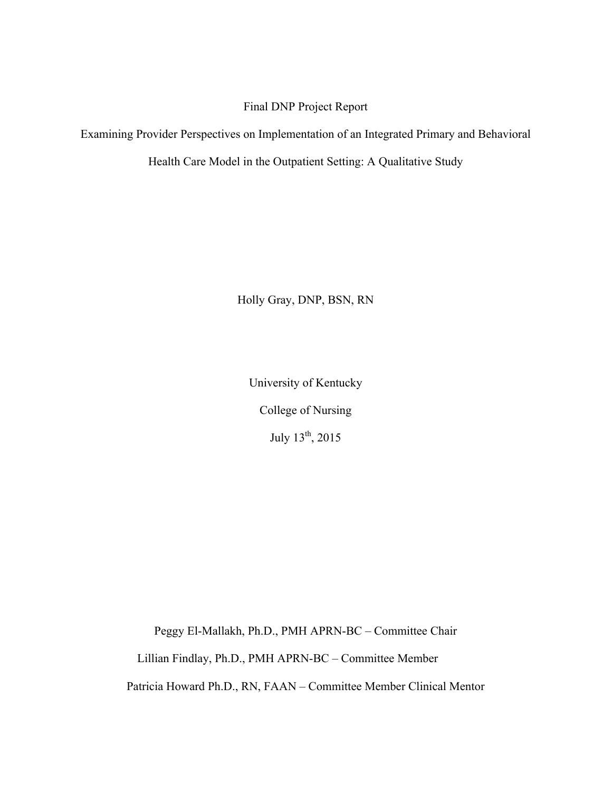Final DNP Project Report

Examining Provider Perspectives on Implementation of an Integrated Primary and Behavioral

Health Care Model in the Outpatient Setting: A Qualitative Study

Holly Gray, DNP, BSN, RN

University of Kentucky College of Nursing July 13th, 2015

Peggy El-Mallakh, Ph.D., PMH APRN-BC – Committee Chair

Lillian Findlay, Ph.D., PMH APRN-BC – Committee Member

Patricia Howard Ph.D., RN, FAAN – Committee Member Clinical Mentor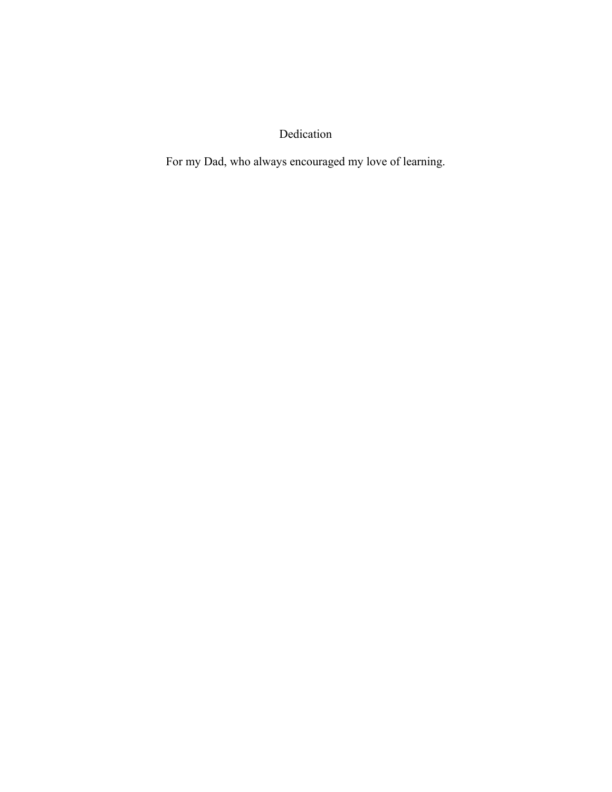Dedication

For my Dad, who always encouraged my love of learning.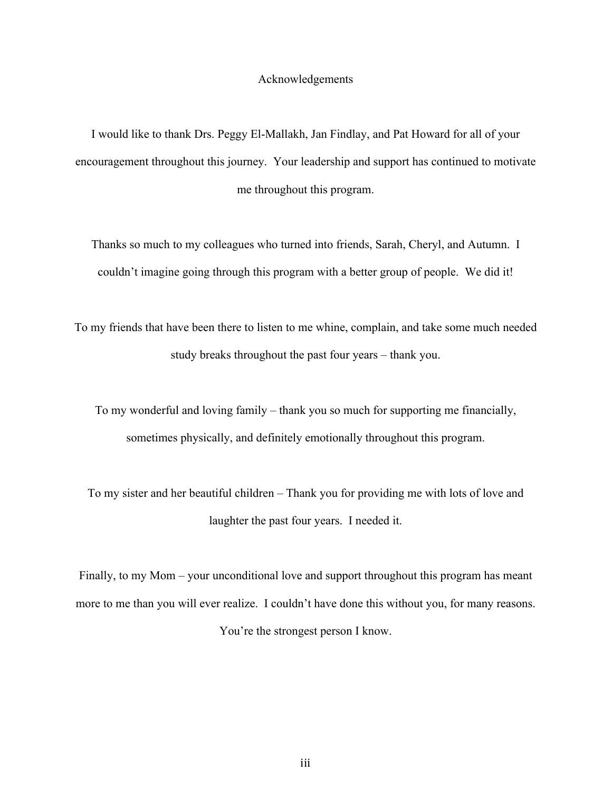#### Acknowledgements

I would like to thank Drs. Peggy El-Mallakh, Jan Findlay, and Pat Howard for all of your encouragement throughout this journey. Your leadership and support has continued to motivate me throughout this program.

Thanks so much to my colleagues who turned into friends, Sarah, Cheryl, and Autumn. I couldn't imagine going through this program with a better group of people. We did it!

To my friends that have been there to listen to me whine, complain, and take some much needed study breaks throughout the past four years – thank you.

To my wonderful and loving family – thank you so much for supporting me financially, sometimes physically, and definitely emotionally throughout this program.

To my sister and her beautiful children – Thank you for providing me with lots of love and laughter the past four years. I needed it.

Finally, to my Mom – your unconditional love and support throughout this program has meant more to me than you will ever realize. I couldn't have done this without you, for many reasons. You're the strongest person I know.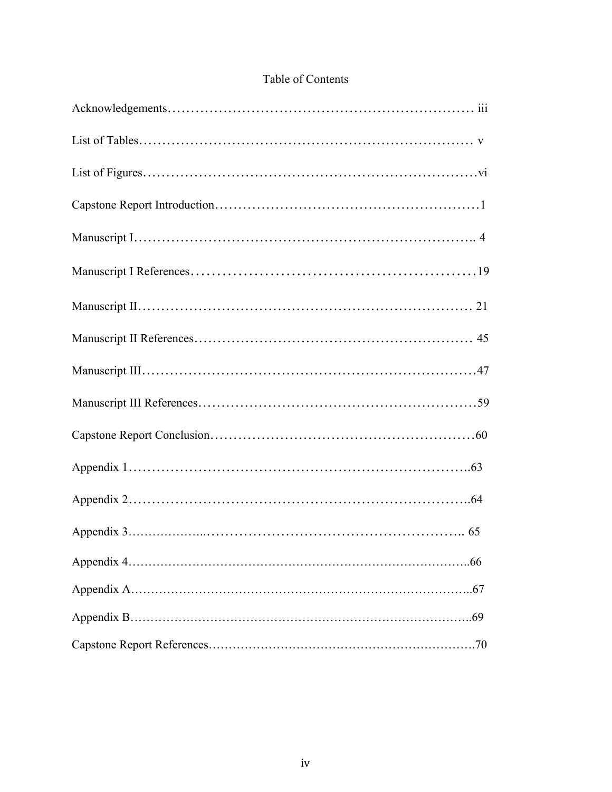### Table of Contents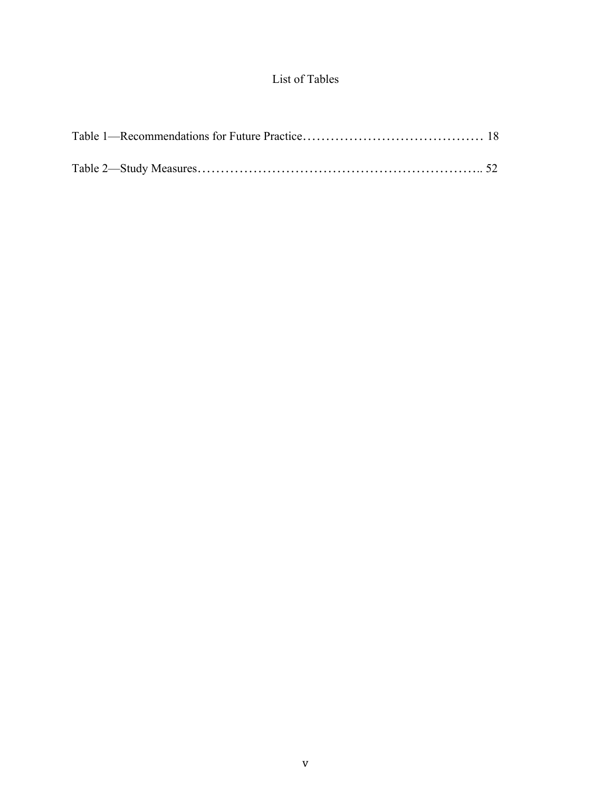### List of Tables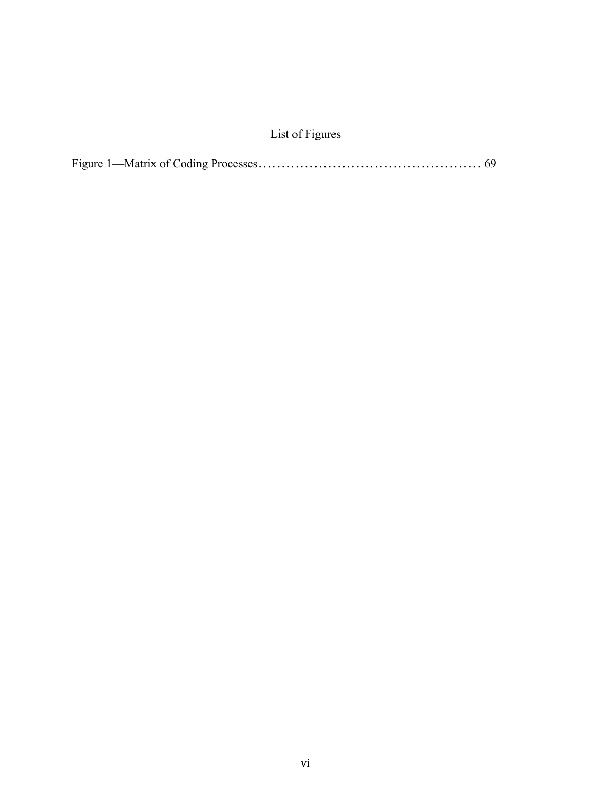### List of Figures

|--|--|--|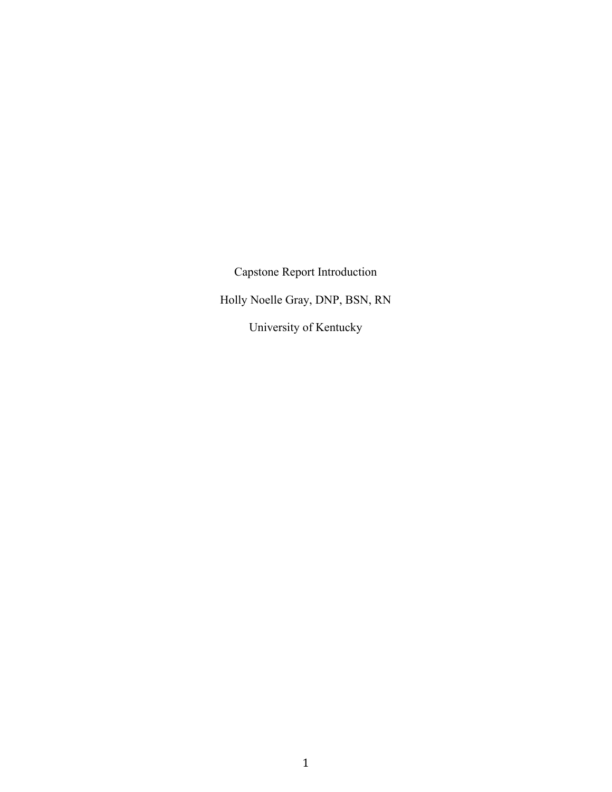Capstone Report Introduction Holly Noelle Gray, DNP, BSN, RN University of Kentucky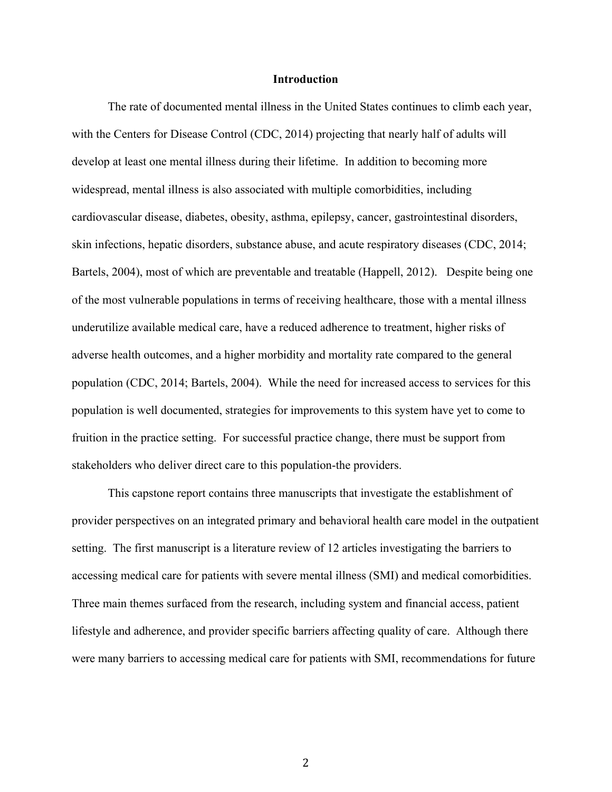#### **Introduction**

The rate of documented mental illness in the United States continues to climb each year, with the Centers for Disease Control (CDC, 2014) projecting that nearly half of adults will develop at least one mental illness during their lifetime. In addition to becoming more widespread, mental illness is also associated with multiple comorbidities, including cardiovascular disease, diabetes, obesity, asthma, epilepsy, cancer, gastrointestinal disorders, skin infections, hepatic disorders, substance abuse, and acute respiratory diseases (CDC, 2014; Bartels, 2004), most of which are preventable and treatable (Happell, 2012). Despite being one of the most vulnerable populations in terms of receiving healthcare, those with a mental illness underutilize available medical care, have a reduced adherence to treatment, higher risks of adverse health outcomes, and a higher morbidity and mortality rate compared to the general population (CDC, 2014; Bartels, 2004). While the need for increased access to services for this population is well documented, strategies for improvements to this system have yet to come to fruition in the practice setting. For successful practice change, there must be support from stakeholders who deliver direct care to this population-the providers.

This capstone report contains three manuscripts that investigate the establishment of provider perspectives on an integrated primary and behavioral health care model in the outpatient setting. The first manuscript is a literature review of 12 articles investigating the barriers to accessing medical care for patients with severe mental illness (SMI) and medical comorbidities. Three main themes surfaced from the research, including system and financial access, patient lifestyle and adherence, and provider specific barriers affecting quality of care. Although there were many barriers to accessing medical care for patients with SMI, recommendations for future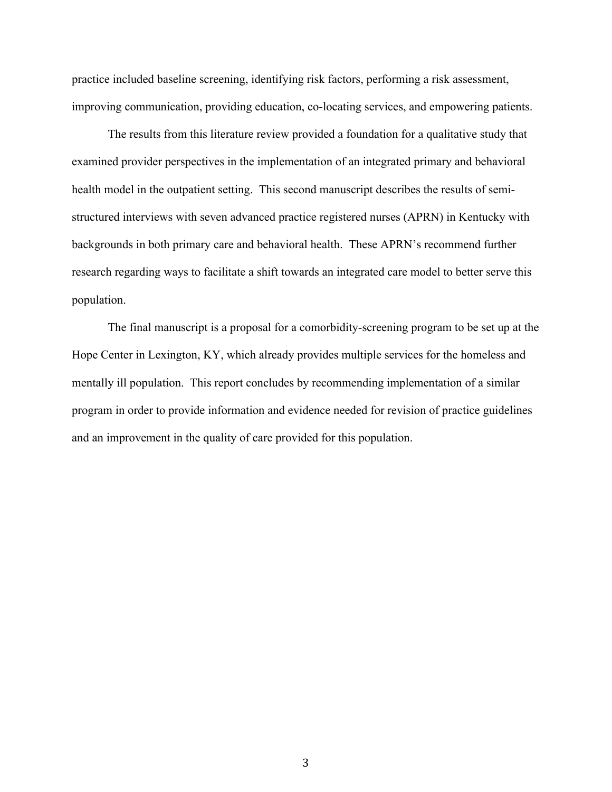practice included baseline screening, identifying risk factors, performing a risk assessment, improving communication, providing education, co-locating services, and empowering patients.

The results from this literature review provided a foundation for a qualitative study that examined provider perspectives in the implementation of an integrated primary and behavioral health model in the outpatient setting. This second manuscript describes the results of semistructured interviews with seven advanced practice registered nurses (APRN) in Kentucky with backgrounds in both primary care and behavioral health. These APRN's recommend further research regarding ways to facilitate a shift towards an integrated care model to better serve this population.

The final manuscript is a proposal for a comorbidity-screening program to be set up at the Hope Center in Lexington, KY, which already provides multiple services for the homeless and mentally ill population. This report concludes by recommending implementation of a similar program in order to provide information and evidence needed for revision of practice guidelines and an improvement in the quality of care provided for this population.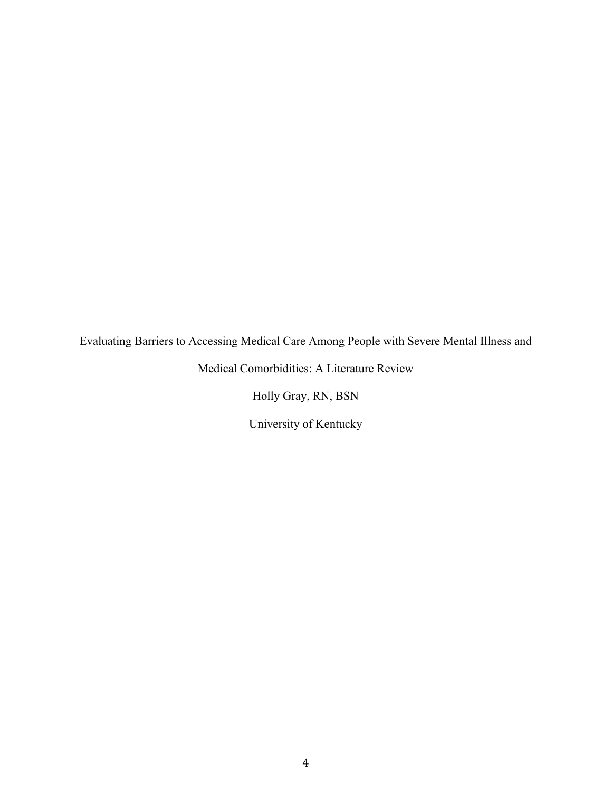Evaluating Barriers to Accessing Medical Care Among People with Severe Mental Illness and

Medical Comorbidities: A Literature Review

Holly Gray, RN, BSN

University of Kentucky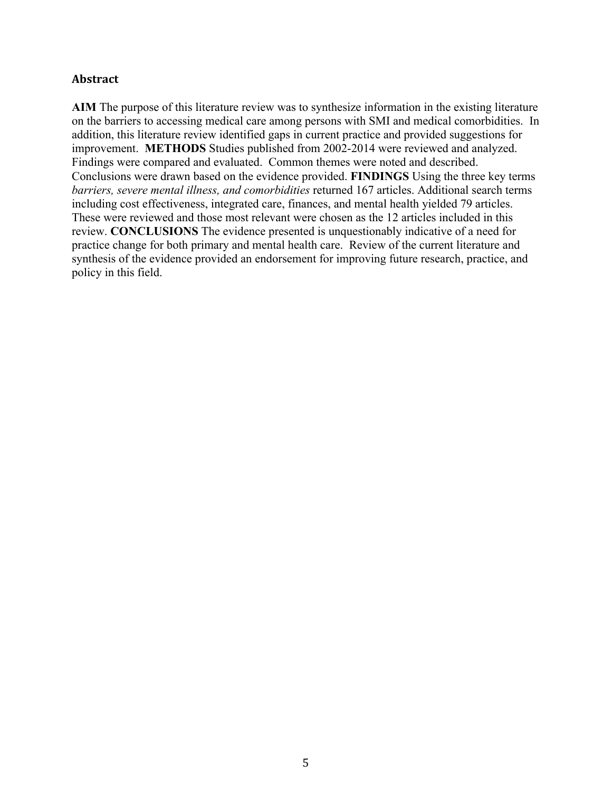#### **Abstract**

**AIM** The purpose of this literature review was to synthesize information in the existing literature on the barriers to accessing medical care among persons with SMI and medical comorbidities. In addition, this literature review identified gaps in current practice and provided suggestions for improvement. **METHODS** Studies published from 2002-2014 were reviewed and analyzed. Findings were compared and evaluated. Common themes were noted and described. Conclusions were drawn based on the evidence provided. **FINDINGS** Using the three key terms *barriers, severe mental illness, and comorbidities* returned 167 articles. Additional search terms including cost effectiveness, integrated care, finances, and mental health yielded 79 articles. These were reviewed and those most relevant were chosen as the 12 articles included in this review. **CONCLUSIONS** The evidence presented is unquestionably indicative of a need for practice change for both primary and mental health care. Review of the current literature and synthesis of the evidence provided an endorsement for improving future research, practice, and policy in this field.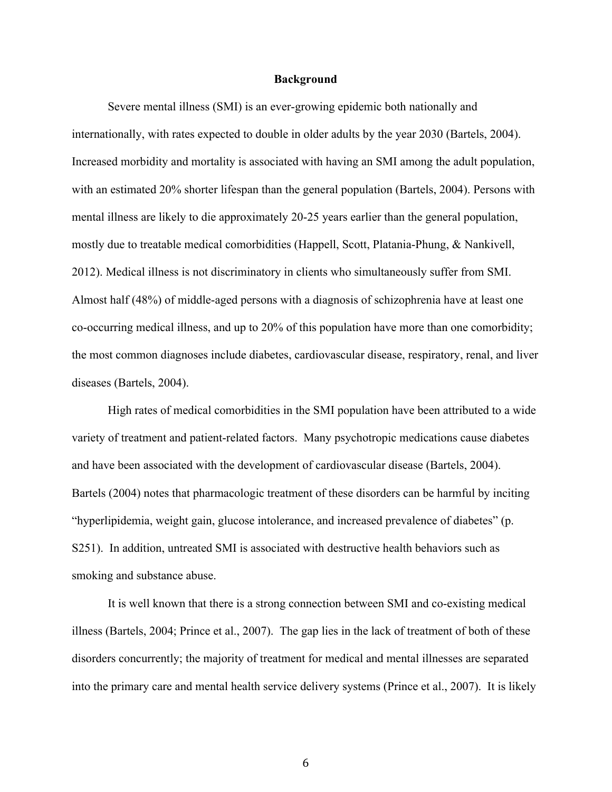#### **Background**

Severe mental illness (SMI) is an ever-growing epidemic both nationally and internationally, with rates expected to double in older adults by the year 2030 (Bartels, 2004). Increased morbidity and mortality is associated with having an SMI among the adult population, with an estimated 20% shorter lifespan than the general population (Bartels, 2004). Persons with mental illness are likely to die approximately 20-25 years earlier than the general population, mostly due to treatable medical comorbidities (Happell, Scott, Platania-Phung, & Nankivell, 2012). Medical illness is not discriminatory in clients who simultaneously suffer from SMI. Almost half (48%) of middle-aged persons with a diagnosis of schizophrenia have at least one co-occurring medical illness, and up to 20% of this population have more than one comorbidity; the most common diagnoses include diabetes, cardiovascular disease, respiratory, renal, and liver diseases (Bartels, 2004).

High rates of medical comorbidities in the SMI population have been attributed to a wide variety of treatment and patient-related factors. Many psychotropic medications cause diabetes and have been associated with the development of cardiovascular disease (Bartels, 2004). Bartels (2004) notes that pharmacologic treatment of these disorders can be harmful by inciting "hyperlipidemia, weight gain, glucose intolerance, and increased prevalence of diabetes" (p. S251). In addition, untreated SMI is associated with destructive health behaviors such as smoking and substance abuse.

It is well known that there is a strong connection between SMI and co-existing medical illness (Bartels, 2004; Prince et al., 2007). The gap lies in the lack of treatment of both of these disorders concurrently; the majority of treatment for medical and mental illnesses are separated into the primary care and mental health service delivery systems (Prince et al., 2007). It is likely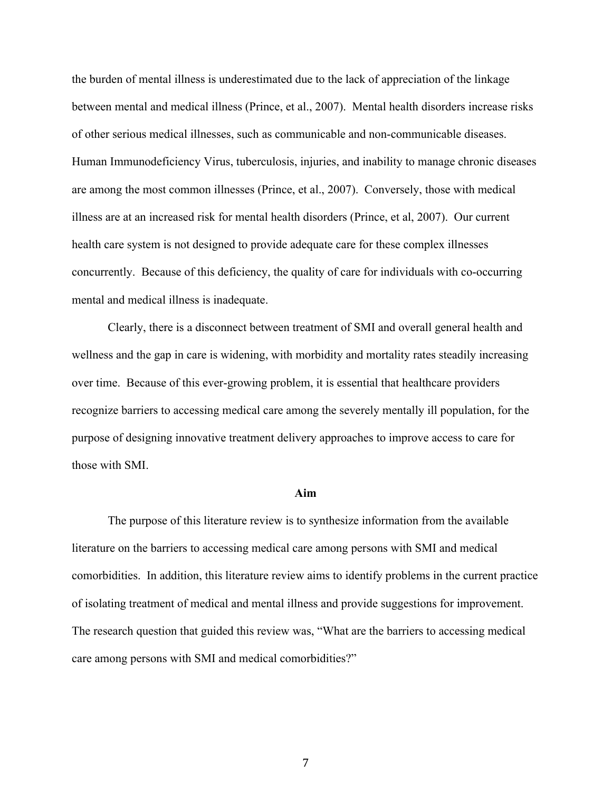the burden of mental illness is underestimated due to the lack of appreciation of the linkage between mental and medical illness (Prince, et al., 2007). Mental health disorders increase risks of other serious medical illnesses, such as communicable and non-communicable diseases. Human Immunodeficiency Virus, tuberculosis, injuries, and inability to manage chronic diseases are among the most common illnesses (Prince, et al., 2007). Conversely, those with medical illness are at an increased risk for mental health disorders (Prince, et al, 2007). Our current health care system is not designed to provide adequate care for these complex illnesses concurrently. Because of this deficiency, the quality of care for individuals with co-occurring mental and medical illness is inadequate.

Clearly, there is a disconnect between treatment of SMI and overall general health and wellness and the gap in care is widening, with morbidity and mortality rates steadily increasing over time. Because of this ever-growing problem, it is essential that healthcare providers recognize barriers to accessing medical care among the severely mentally ill population, for the purpose of designing innovative treatment delivery approaches to improve access to care for those with SMI.

#### **Aim**

The purpose of this literature review is to synthesize information from the available literature on the barriers to accessing medical care among persons with SMI and medical comorbidities. In addition, this literature review aims to identify problems in the current practice of isolating treatment of medical and mental illness and provide suggestions for improvement. The research question that guided this review was, "What are the barriers to accessing medical care among persons with SMI and medical comorbidities?"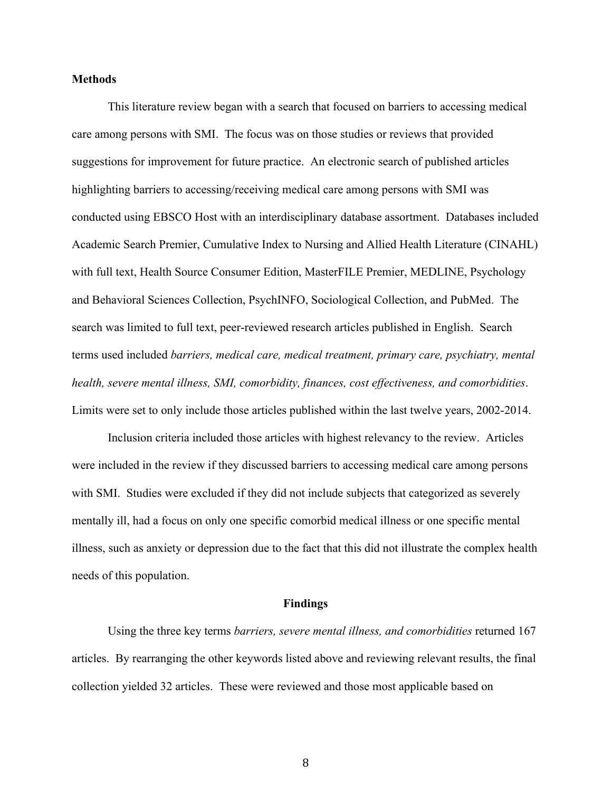#### **Methods**

This literature review began with a search that focused on barriers to accessing medical care among persons with SMI. The focus was on those studies or reviews that provided suggestions for improvement for future practice. An electronic search of published articles highlighting barriers to accessing/receiving medical care among persons with SMI was conducted using EBSCO Host with an interdisciplinary database assortment. Databases included Academic Search Premier, Cumulative Index to Nursing and Allied Health Literature (CINAHL) with full text, Health Source Consumer Edition, MasterFILE Premier, MEDLINE, Psychology and Behavioral Sciences Collection, PsychINFO, Sociological Collection, and PubMed. The search was limited to full text, peer-reviewed research articles published in English. Search terms used included *barriers, medical care, medical treatment, primary care, psychiatry, mental health, severe mental illness, SMI, comorbidity, finances, cost effectiveness, and comorbidities*. Limits were set to only include those articles published within the last twelve years, 2002-2014.

Inclusion criteria included those articles with highest relevancy to the review. Articles were included in the review if they discussed barriers to accessing medical care among persons with SMI. Studies were excluded if they did not include subjects that categorized as severely mentally ill, had a focus on only one specific comorbid medical illness or one specific mental illness, such as anxiety or depression due to the fact that this did not illustrate the complex health needs of this population.

#### **Findings**

Using the three key terms *barriers, severe mental illness, and comorbidities* returned 167 articles. By rearranging the other keywords listed above and reviewing relevant results, the final collection yielded 32 articles. These were reviewed and those most applicable based on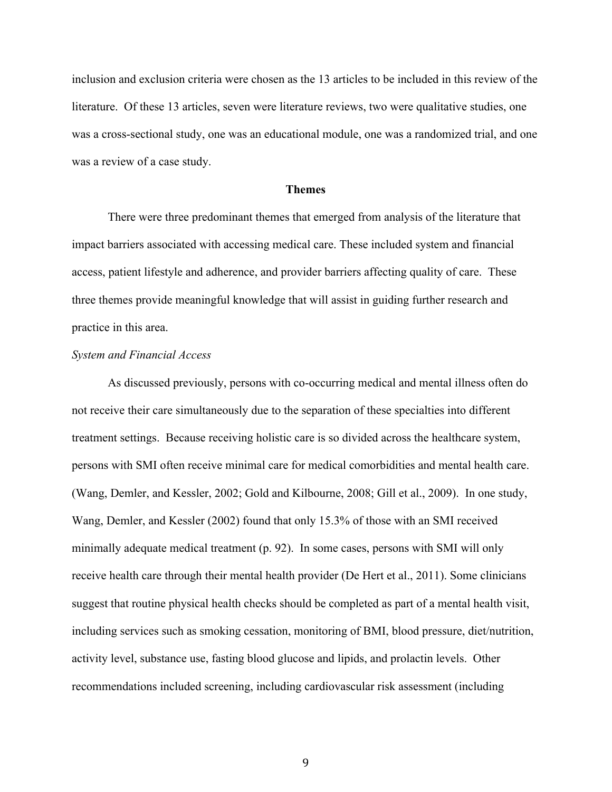inclusion and exclusion criteria were chosen as the 13 articles to be included in this review of the literature. Of these 13 articles, seven were literature reviews, two were qualitative studies, one was a cross-sectional study, one was an educational module, one was a randomized trial, and one was a review of a case study.

#### **Themes**

There were three predominant themes that emerged from analysis of the literature that impact barriers associated with accessing medical care. These included system and financial access, patient lifestyle and adherence, and provider barriers affecting quality of care. These three themes provide meaningful knowledge that will assist in guiding further research and practice in this area.

#### *System and Financial Access*

As discussed previously, persons with co-occurring medical and mental illness often do not receive their care simultaneously due to the separation of these specialties into different treatment settings. Because receiving holistic care is so divided across the healthcare system, persons with SMI often receive minimal care for medical comorbidities and mental health care. (Wang, Demler, and Kessler, 2002; Gold and Kilbourne, 2008; Gill et al., 2009). In one study, Wang, Demler, and Kessler (2002) found that only 15.3% of those with an SMI received minimally adequate medical treatment (p. 92). In some cases, persons with SMI will only receive health care through their mental health provider (De Hert et al., 2011). Some clinicians suggest that routine physical health checks should be completed as part of a mental health visit, including services such as smoking cessation, monitoring of BMI, blood pressure, diet/nutrition, activity level, substance use, fasting blood glucose and lipids, and prolactin levels. Other recommendations included screening, including cardiovascular risk assessment (including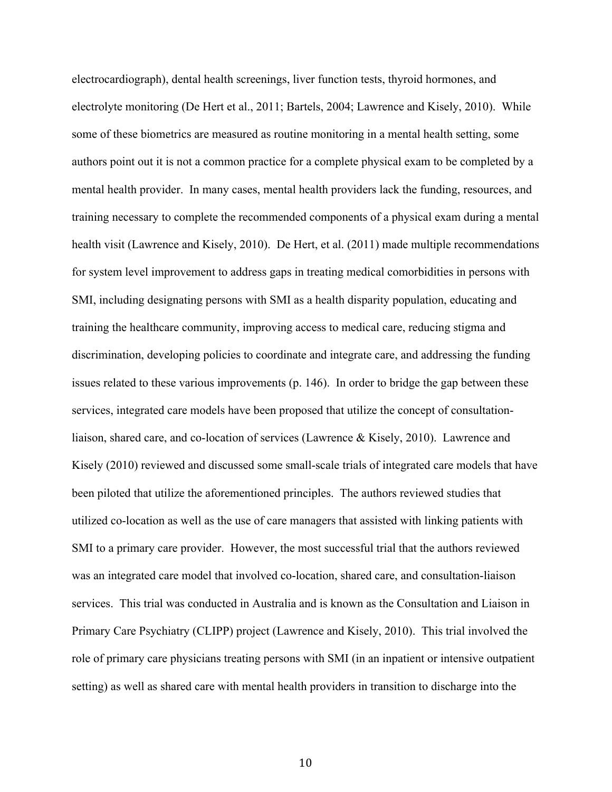electrocardiograph), dental health screenings, liver function tests, thyroid hormones, and electrolyte monitoring (De Hert et al., 2011; Bartels, 2004; Lawrence and Kisely, 2010). While some of these biometrics are measured as routine monitoring in a mental health setting, some authors point out it is not a common practice for a complete physical exam to be completed by a mental health provider. In many cases, mental health providers lack the funding, resources, and training necessary to complete the recommended components of a physical exam during a mental health visit (Lawrence and Kisely, 2010). De Hert, et al. (2011) made multiple recommendations for system level improvement to address gaps in treating medical comorbidities in persons with SMI, including designating persons with SMI as a health disparity population, educating and training the healthcare community, improving access to medical care, reducing stigma and discrimination, developing policies to coordinate and integrate care, and addressing the funding issues related to these various improvements (p. 146). In order to bridge the gap between these services, integrated care models have been proposed that utilize the concept of consultationliaison, shared care, and co-location of services (Lawrence & Kisely, 2010). Lawrence and Kisely (2010) reviewed and discussed some small-scale trials of integrated care models that have been piloted that utilize the aforementioned principles. The authors reviewed studies that utilized co-location as well as the use of care managers that assisted with linking patients with SMI to a primary care provider. However, the most successful trial that the authors reviewed was an integrated care model that involved co-location, shared care, and consultation-liaison services. This trial was conducted in Australia and is known as the Consultation and Liaison in Primary Care Psychiatry (CLIPP) project (Lawrence and Kisely, 2010). This trial involved the role of primary care physicians treating persons with SMI (in an inpatient or intensive outpatient setting) as well as shared care with mental health providers in transition to discharge into the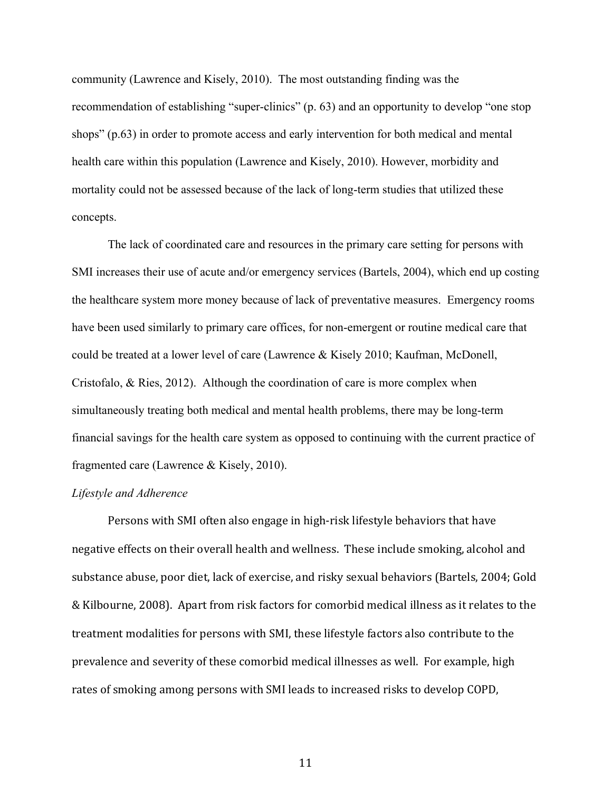community (Lawrence and Kisely, 2010). The most outstanding finding was the recommendation of establishing "super-clinics" (p. 63) and an opportunity to develop "one stop shops" (p.63) in order to promote access and early intervention for both medical and mental health care within this population (Lawrence and Kisely, 2010). However, morbidity and mortality could not be assessed because of the lack of long-term studies that utilized these concepts.

The lack of coordinated care and resources in the primary care setting for persons with SMI increases their use of acute and/or emergency services (Bartels, 2004), which end up costing the healthcare system more money because of lack of preventative measures. Emergency rooms have been used similarly to primary care offices, for non-emergent or routine medical care that could be treated at a lower level of care (Lawrence & Kisely 2010; Kaufman, McDonell, Cristofalo, & Ries, 2012). Although the coordination of care is more complex when simultaneously treating both medical and mental health problems, there may be long-term financial savings for the health care system as opposed to continuing with the current practice of fragmented care (Lawrence & Kisely, 2010).

#### *Lifestyle and Adherence*

Persons with SMI often also engage in high-risk lifestyle behaviors that have negative effects on their overall health and wellness. These include smoking, alcohol and substance abuse, poor diet, lack of exercise, and risky sexual behaviors (Bartels, 2004; Gold & Kilbourne, 2008). Apart from risk factors for comorbid medical illness as it relates to the treatment modalities for persons with SMI, these lifestyle factors also contribute to the prevalence and severity of these comorbid medical illnesses as well. For example, high rates of smoking among persons with SMI leads to increased risks to develop COPD,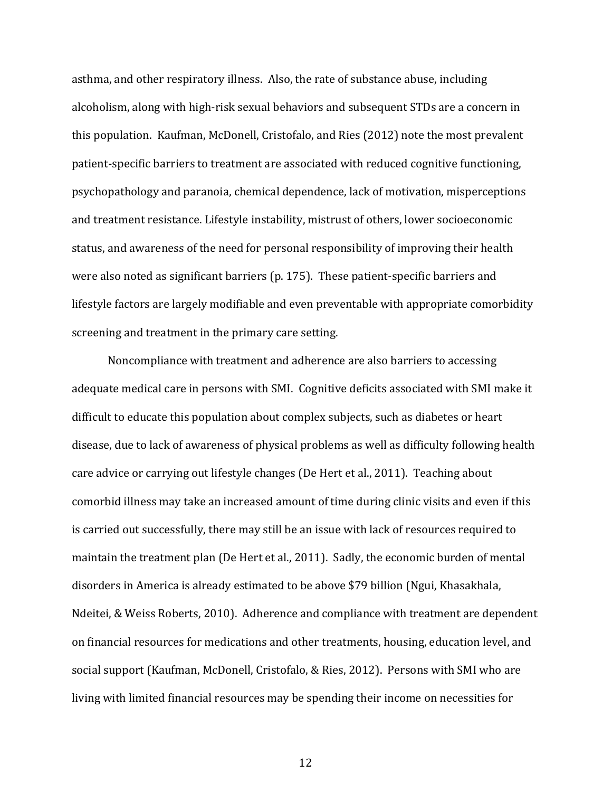asthma, and other respiratory illness. Also, the rate of substance abuse, including alcoholism, along with high-risk sexual behaviors and subsequent STDs are a concern in this population. Kaufman, McDonell, Cristofalo, and Ries (2012) note the most prevalent patient-specific barriers to treatment are associated with reduced cognitive functioning, psychopathology and paranoia, chemical dependence, lack of motivation, misperceptions and treatment resistance. Lifestyle instability, mistrust of others, lower socioeconomic status, and awareness of the need for personal responsibility of improving their health were also noted as significant barriers (p. 175). These patient-specific barriers and lifestyle factors are largely modifiable and even preventable with appropriate comorbidity screening and treatment in the primary care setting.

Noncompliance with treatment and adherence are also barriers to accessing adequate medical care in persons with SMI. Cognitive deficits associated with SMI make it difficult to educate this population about complex subjects, such as diabetes or heart disease, due to lack of awareness of physical problems as well as difficulty following health care advice or carrying out lifestyle changes (De Hert et al., 2011). Teaching about comorbid illness may take an increased amount of time during clinic visits and even if this is carried out successfully, there may still be an issue with lack of resources required to maintain the treatment plan (De Hert et al., 2011). Sadly, the economic burden of mental disorders in America is already estimated to be above \$79 billion (Ngui, Khasakhala, Ndeitei, & Weiss Roberts, 2010). Adherence and compliance with treatment are dependent on financial resources for medications and other treatments, housing, education level, and social support (Kaufman, McDonell, Cristofalo, & Ries, 2012). Persons with SMI who are living with limited financial resources may be spending their income on necessities for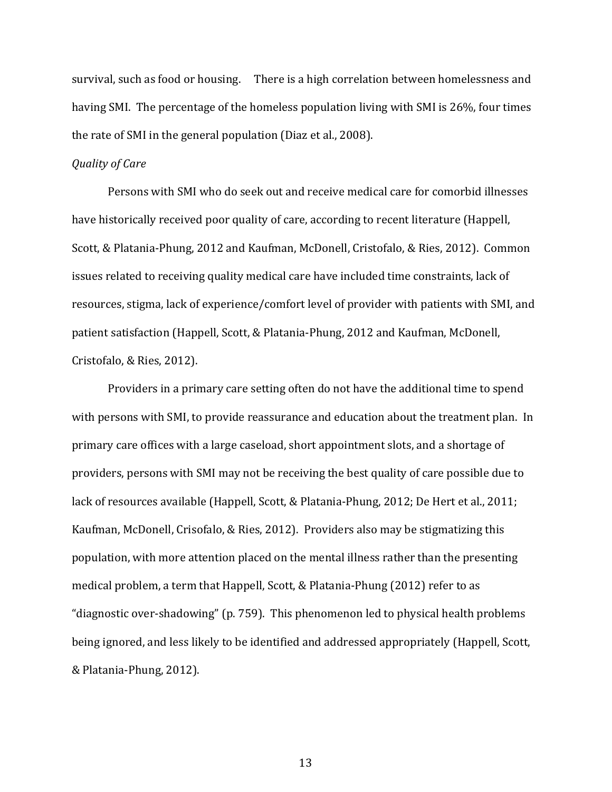survival, such as food or housing. There is a high correlation between homelessness and having SMI. The percentage of the homeless population living with SMI is 26%, four times the rate of SMI in the general population (Diaz et al., 2008).

#### *Quality of Care*

Persons with SMI who do seek out and receive medical care for comorbid illnesses have historically received poor quality of care, according to recent literature (Happell, Scott, & Platania-Phung, 2012 and Kaufman, McDonell, Cristofalo, & Ries, 2012). Common issues related to receiving quality medical care have included time constraints, lack of resources, stigma, lack of experience/comfort level of provider with patients with SMI, and patient satisfaction (Happell, Scott, & Platania-Phung, 2012 and Kaufman, McDonell, Cristofalo, & Ries, 2012).

Providers in a primary care setting often do not have the additional time to spend with persons with SMI, to provide reassurance and education about the treatment plan. In primary care offices with a large caseload, short appointment slots, and a shortage of providers, persons with SMI may not be receiving the best quality of care possible due to lack of resources available (Happell, Scott, & Platania-Phung, 2012; De Hert et al., 2011; Kaufman, McDonell, Crisofalo, & Ries, 2012). Providers also may be stigmatizing this population, with more attention placed on the mental illness rather than the presenting medical problem, a term that Happell, Scott, & Platania-Phung (2012) refer to as "diagnostic over-shadowing" (p. 759). This phenomenon led to physical health problems being ignored, and less likely to be identified and addressed appropriately (Happell, Scott, & Platania-Phung, 2012).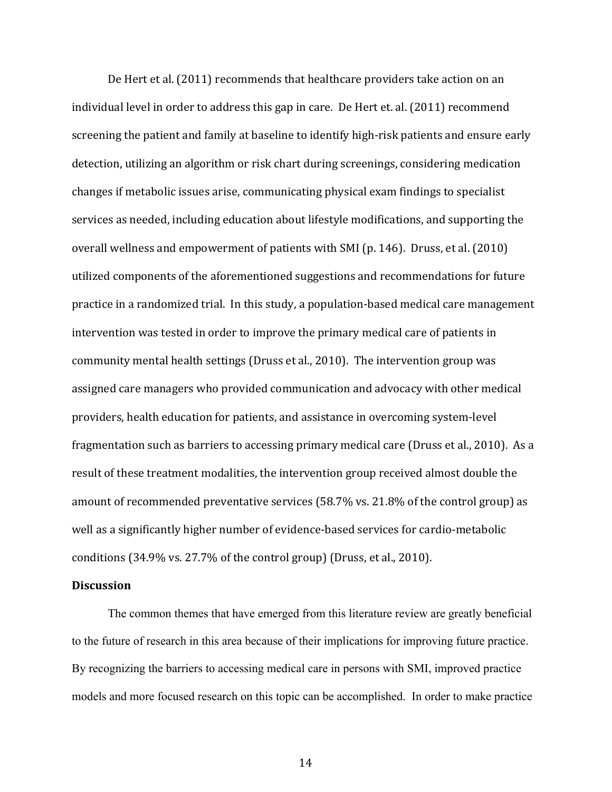De Hert et al. (2011) recommends that healthcare providers take action on an individual level in order to address this gap in care. De Hert et. al. (2011) recommend screening the patient and family at baseline to identify high-risk patients and ensure early detection, utilizing an algorithm or risk chart during screenings, considering medication changes if metabolic issues arise, communicating physical exam findings to specialist services as needed, including education about lifestyle modifications, and supporting the overall wellness and empowerment of patients with SMI (p. 146). Druss, et al. (2010) utilized components of the aforementioned suggestions and recommendations for future practice in a randomized trial. In this study, a population-based medical care management intervention was tested in order to improve the primary medical care of patients in community mental health settings (Druss et al., 2010). The intervention group was assigned care managers who provided communication and advocacy with other medical providers, health education for patients, and assistance in overcoming system-level fragmentation such as barriers to accessing primary medical care (Druss et al., 2010). As a result of these treatment modalities, the intervention group received almost double the amount of recommended preventative services  $(58.7\% \text{ vs. } 21.8\% \text{ of the control group})$  as well as a significantly higher number of evidence-based services for cardio-metabolic conditions  $(34.9\% \text{ vs. } 27.7\% \text{ of the control group})$  (Druss, et al., 2010).

#### **Discussion**

The common themes that have emerged from this literature review are greatly beneficial to the future of research in this area because of their implications for improving future practice. By recognizing the barriers to accessing medical care in persons with SMI, improved practice models and more focused research on this topic can be accomplished. In order to make practice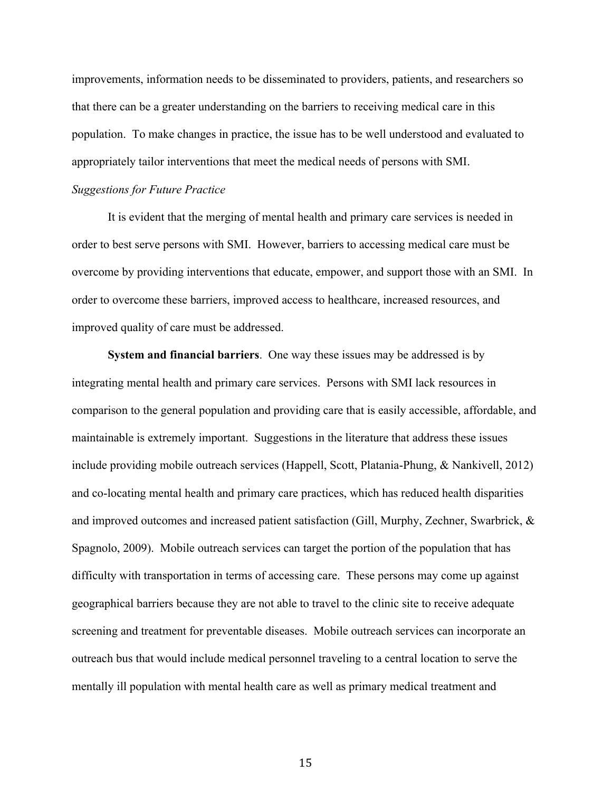improvements, information needs to be disseminated to providers, patients, and researchers so that there can be a greater understanding on the barriers to receiving medical care in this population. To make changes in practice, the issue has to be well understood and evaluated to appropriately tailor interventions that meet the medical needs of persons with SMI.

#### *Suggestions for Future Practice*

It is evident that the merging of mental health and primary care services is needed in order to best serve persons with SMI. However, barriers to accessing medical care must be overcome by providing interventions that educate, empower, and support those with an SMI. In order to overcome these barriers, improved access to healthcare, increased resources, and improved quality of care must be addressed.

**System and financial barriers**. One way these issues may be addressed is by integrating mental health and primary care services. Persons with SMI lack resources in comparison to the general population and providing care that is easily accessible, affordable, and maintainable is extremely important. Suggestions in the literature that address these issues include providing mobile outreach services (Happell, Scott, Platania-Phung, & Nankivell, 2012) and co-locating mental health and primary care practices, which has reduced health disparities and improved outcomes and increased patient satisfaction (Gill, Murphy, Zechner, Swarbrick, & Spagnolo, 2009). Mobile outreach services can target the portion of the population that has difficulty with transportation in terms of accessing care. These persons may come up against geographical barriers because they are not able to travel to the clinic site to receive adequate screening and treatment for preventable diseases. Mobile outreach services can incorporate an outreach bus that would include medical personnel traveling to a central location to serve the mentally ill population with mental health care as well as primary medical treatment and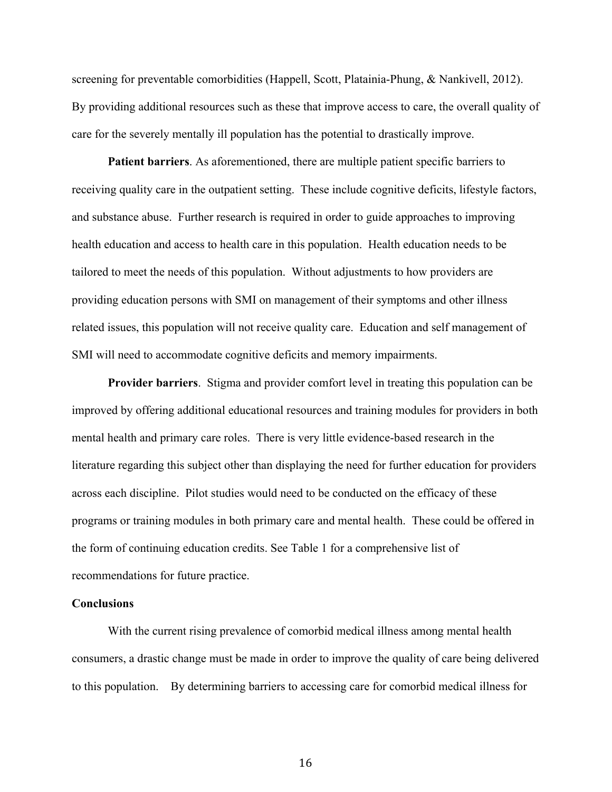screening for preventable comorbidities (Happell, Scott, Platainia-Phung, & Nankivell, 2012). By providing additional resources such as these that improve access to care, the overall quality of care for the severely mentally ill population has the potential to drastically improve.

**Patient barriers**. As aforementioned, there are multiple patient specific barriers to receiving quality care in the outpatient setting. These include cognitive deficits, lifestyle factors, and substance abuse. Further research is required in order to guide approaches to improving health education and access to health care in this population. Health education needs to be tailored to meet the needs of this population. Without adjustments to how providers are providing education persons with SMI on management of their symptoms and other illness related issues, this population will not receive quality care. Education and self management of SMI will need to accommodate cognitive deficits and memory impairments.

**Provider barriers**. Stigma and provider comfort level in treating this population can be improved by offering additional educational resources and training modules for providers in both mental health and primary care roles. There is very little evidence-based research in the literature regarding this subject other than displaying the need for further education for providers across each discipline. Pilot studies would need to be conducted on the efficacy of these programs or training modules in both primary care and mental health. These could be offered in the form of continuing education credits. See Table 1 for a comprehensive list of recommendations for future practice.

#### **Conclusions**

With the current rising prevalence of comorbid medical illness among mental health consumers, a drastic change must be made in order to improve the quality of care being delivered to this population. By determining barriers to accessing care for comorbid medical illness for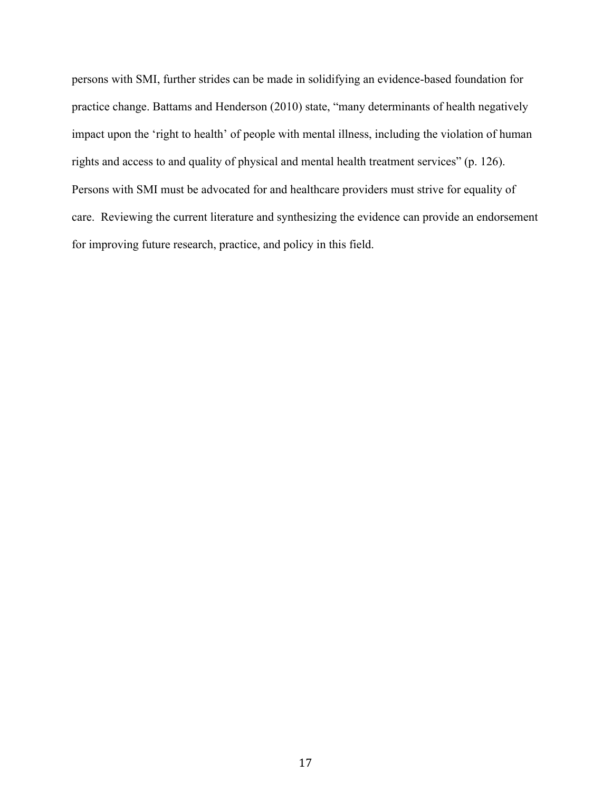persons with SMI, further strides can be made in solidifying an evidence-based foundation for practice change. Battams and Henderson (2010) state, "many determinants of health negatively impact upon the 'right to health' of people with mental illness, including the violation of human rights and access to and quality of physical and mental health treatment services" (p. 126). Persons with SMI must be advocated for and healthcare providers must strive for equality of care. Reviewing the current literature and synthesizing the evidence can provide an endorsement for improving future research, practice, and policy in this field.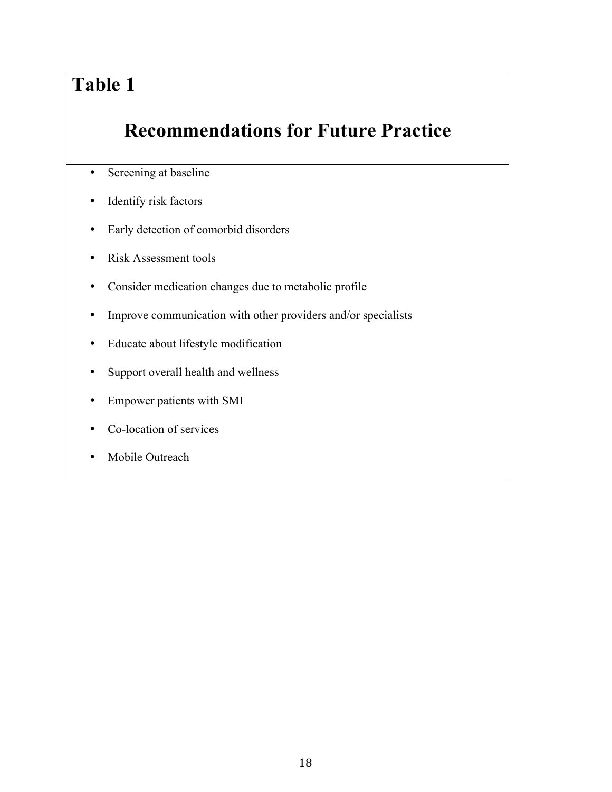# **Table 1**

### **Recommendations for Future Practice**

- Screening at baseline
- Identify risk factors
- Early detection of comorbid disorders
- Risk Assessment tools
- Consider medication changes due to metabolic profile
- Improve communication with other providers and/or specialists
- Educate about lifestyle modification
- Support overall health and wellness
- Empower patients with SMI
- Co-location of services
- Mobile Outreach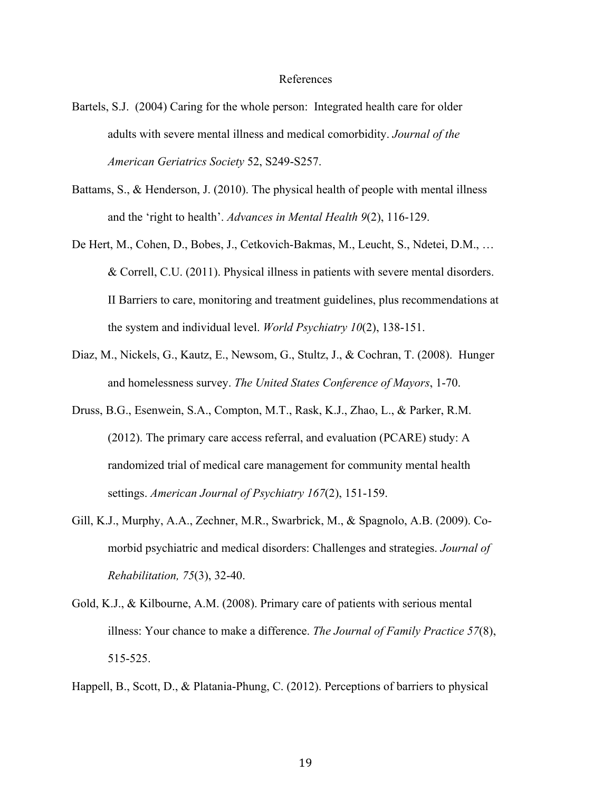#### References

- Bartels, S.J. (2004) Caring for the whole person: Integrated health care for older adults with severe mental illness and medical comorbidity. *Journal of the American Geriatrics Society* 52, S249-S257.
- Battams, S., & Henderson, J. (2010). The physical health of people with mental illness and the 'right to health'. *Advances in Mental Health 9*(2), 116-129.
- De Hert, M., Cohen, D., Bobes, J., Cetkovich-Bakmas, M., Leucht, S., Ndetei, D.M., … & Correll, C.U. (2011). Physical illness in patients with severe mental disorders. II Barriers to care, monitoring and treatment guidelines, plus recommendations at the system and individual level. *World Psychiatry 10*(2), 138-151.
- Diaz, M., Nickels, G., Kautz, E., Newsom, G., Stultz, J., & Cochran, T. (2008). Hunger and homelessness survey. *The United States Conference of Mayors*, 1-70.
- Druss, B.G., Esenwein, S.A., Compton, M.T., Rask, K.J., Zhao, L., & Parker, R.M. (2012). The primary care access referral, and evaluation (PCARE) study: A randomized trial of medical care management for community mental health settings. *American Journal of Psychiatry 167*(2), 151-159.
- Gill, K.J., Murphy, A.A., Zechner, M.R., Swarbrick, M., & Spagnolo, A.B. (2009). Comorbid psychiatric and medical disorders: Challenges and strategies. *Journal of Rehabilitation, 75*(3), 32-40.
- Gold, K.J., & Kilbourne, A.M. (2008). Primary care of patients with serious mental illness: Your chance to make a difference. *The Journal of Family Practice 57*(8), 515-525.
- Happell, B., Scott, D., & Platania-Phung, C. (2012). Perceptions of barriers to physical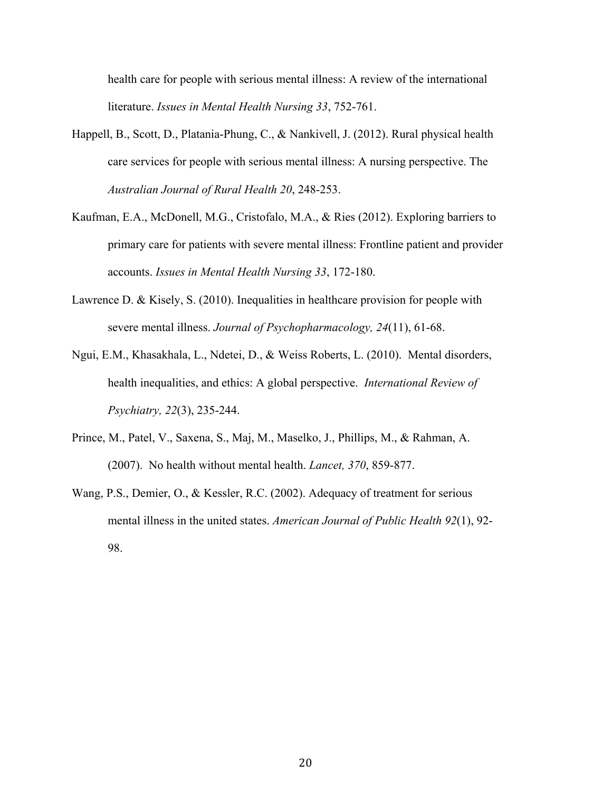health care for people with serious mental illness: A review of the international literature. *Issues in Mental Health Nursing 33*, 752-761.

- Happell, B., Scott, D., Platania-Phung, C., & Nankivell, J. (2012). Rural physical health care services for people with serious mental illness: A nursing perspective. The *Australian Journal of Rural Health 20*, 248-253.
- Kaufman, E.A., McDonell, M.G., Cristofalo, M.A., & Ries (2012). Exploring barriers to primary care for patients with severe mental illness: Frontline patient and provider accounts. *Issues in Mental Health Nursing 33*, 172-180.
- Lawrence D. & Kisely, S. (2010). Inequalities in healthcare provision for people with severe mental illness. *Journal of Psychopharmacology, 24*(11), 61-68.
- Ngui, E.M., Khasakhala, L., Ndetei, D., & Weiss Roberts, L. (2010). Mental disorders, health inequalities, and ethics: A global perspective. *International Review of Psychiatry, 22*(3), 235-244.
- Prince, M., Patel, V., Saxena, S., Maj, M., Maselko, J., Phillips, M., & Rahman, A. (2007). No health without mental health. *Lancet, 370*, 859-877.
- Wang, P.S., Demier, O., & Kessler, R.C. (2002). Adequacy of treatment for serious mental illness in the united states. *American Journal of Public Health 92*(1), 92- 98.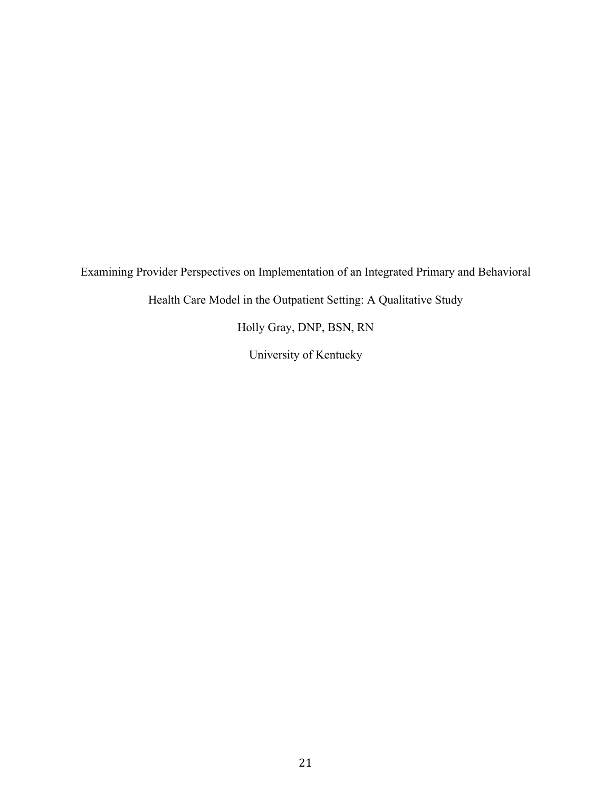Examining Provider Perspectives on Implementation of an Integrated Primary and Behavioral

Health Care Model in the Outpatient Setting: A Qualitative Study

Holly Gray, DNP, BSN, RN

University of Kentucky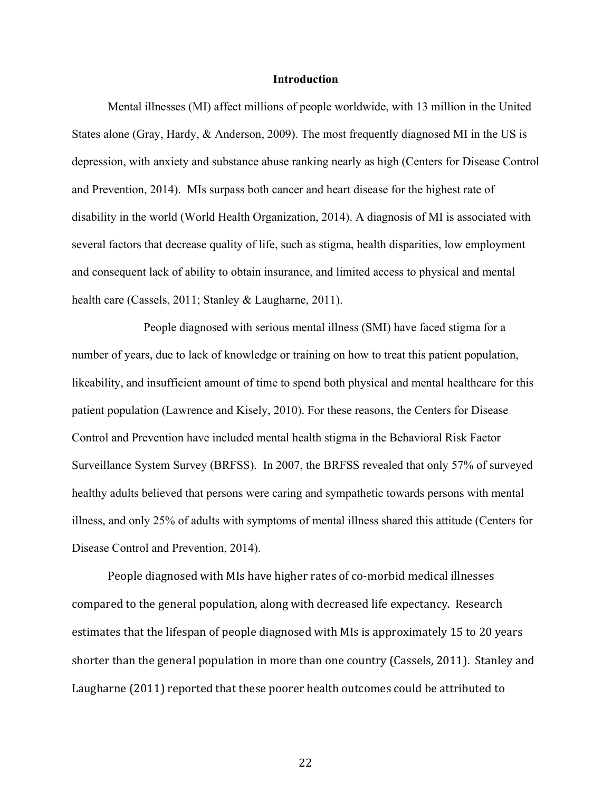#### **Introduction**

Mental illnesses (MI) affect millions of people worldwide, with 13 million in the United States alone (Gray, Hardy, & Anderson, 2009). The most frequently diagnosed MI in the US is depression, with anxiety and substance abuse ranking nearly as high (Centers for Disease Control and Prevention, 2014). MIs surpass both cancer and heart disease for the highest rate of disability in the world (World Health Organization, 2014). A diagnosis of MI is associated with several factors that decrease quality of life, such as stigma, health disparities, low employment and consequent lack of ability to obtain insurance, and limited access to physical and mental health care (Cassels, 2011; Stanley & Laugharne, 2011).

People diagnosed with serious mental illness (SMI) have faced stigma for a number of years, due to lack of knowledge or training on how to treat this patient population, likeability, and insufficient amount of time to spend both physical and mental healthcare for this patient population (Lawrence and Kisely, 2010). For these reasons, the Centers for Disease Control and Prevention have included mental health stigma in the Behavioral Risk Factor Surveillance System Survey (BRFSS). In 2007, the BRFSS revealed that only 57% of surveyed healthy adults believed that persons were caring and sympathetic towards persons with mental illness, and only 25% of adults with symptoms of mental illness shared this attitude (Centers for Disease Control and Prevention, 2014).

People diagnosed with MIs have higher rates of co-morbid medical illnesses compared to the general population, along with decreased life expectancy. Research estimates that the lifespan of people diagnosed with MIs is approximately 15 to 20 years shorter than the general population in more than one country (Cassels, 2011). Stanley and Laugharne (2011) reported that these poorer health outcomes could be attributed to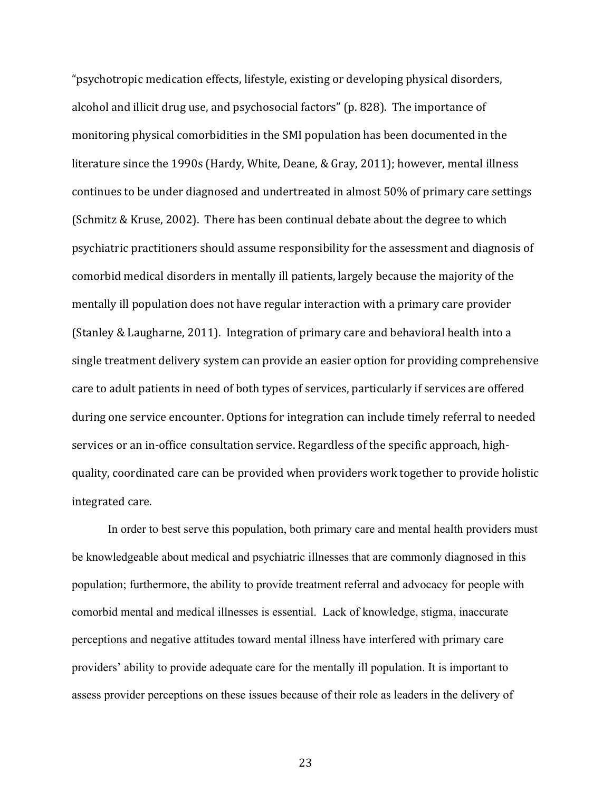"psychotropic medication effects, lifestyle, existing or developing physical disorders, alcohol and illicit drug use, and psychosocial factors" (p. 828). The importance of monitoring physical comorbidities in the SMI population has been documented in the literature since the 1990s (Hardy, White, Deane, & Gray, 2011); however, mental illness continues to be under diagnosed and undertreated in almost 50% of primary care settings (Schmitz & Kruse, 2002). There has been continual debate about the degree to which psychiatric practitioners should assume responsibility for the assessment and diagnosis of comorbid medical disorders in mentally ill patients, largely because the majority of the mentally ill population does not have regular interaction with a primary care provider (Stanley & Laugharne, 2011). Integration of primary care and behavioral health into a single treatment delivery system can provide an easier option for providing comprehensive care to adult patients in need of both types of services, particularly if services are offered during one service encounter. Options for integration can include timely referral to needed services or an in-office consultation service. Regardless of the specific approach, highquality, coordinated care can be provided when providers work together to provide holistic integrated care.

In order to best serve this population, both primary care and mental health providers must be knowledgeable about medical and psychiatric illnesses that are commonly diagnosed in this population; furthermore, the ability to provide treatment referral and advocacy for people with comorbid mental and medical illnesses is essential. Lack of knowledge, stigma, inaccurate perceptions and negative attitudes toward mental illness have interfered with primary care providers' ability to provide adequate care for the mentally ill population. It is important to assess provider perceptions on these issues because of their role as leaders in the delivery of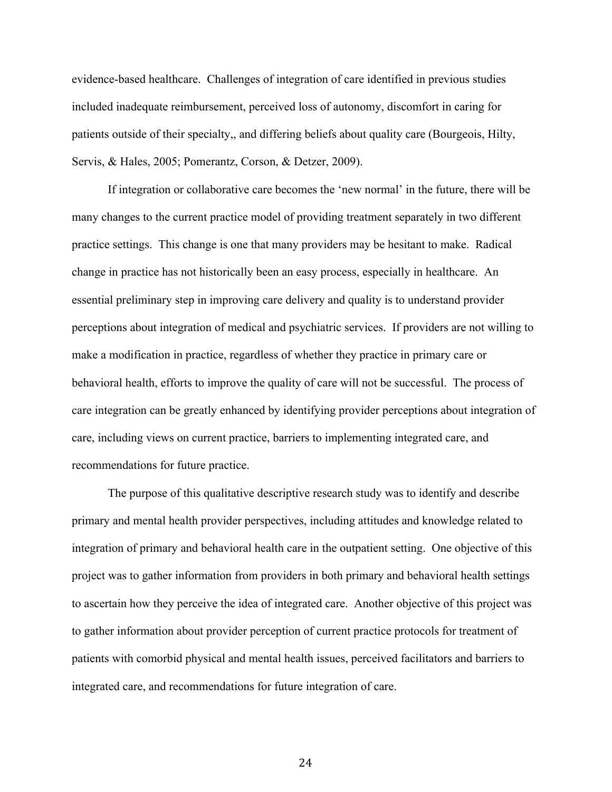evidence-based healthcare. Challenges of integration of care identified in previous studies included inadequate reimbursement, perceived loss of autonomy, discomfort in caring for patients outside of their specialty,, and differing beliefs about quality care (Bourgeois, Hilty, Servis, & Hales, 2005; Pomerantz, Corson, & Detzer, 2009).

If integration or collaborative care becomes the 'new normal' in the future, there will be many changes to the current practice model of providing treatment separately in two different practice settings. This change is one that many providers may be hesitant to make. Radical change in practice has not historically been an easy process, especially in healthcare. An essential preliminary step in improving care delivery and quality is to understand provider perceptions about integration of medical and psychiatric services. If providers are not willing to make a modification in practice, regardless of whether they practice in primary care or behavioral health, efforts to improve the quality of care will not be successful. The process of care integration can be greatly enhanced by identifying provider perceptions about integration of care, including views on current practice, barriers to implementing integrated care, and recommendations for future practice.

The purpose of this qualitative descriptive research study was to identify and describe primary and mental health provider perspectives, including attitudes and knowledge related to integration of primary and behavioral health care in the outpatient setting. One objective of this project was to gather information from providers in both primary and behavioral health settings to ascertain how they perceive the idea of integrated care. Another objective of this project was to gather information about provider perception of current practice protocols for treatment of patients with comorbid physical and mental health issues, perceived facilitators and barriers to integrated care, and recommendations for future integration of care.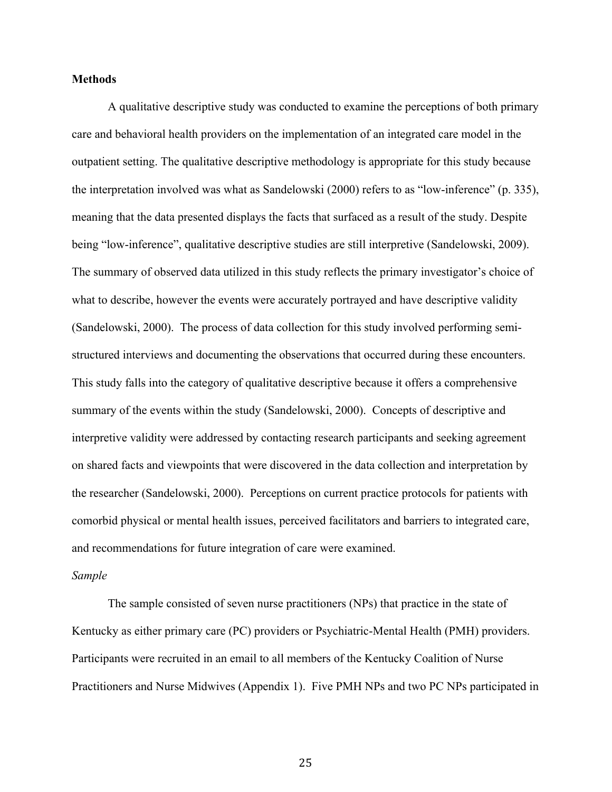#### **Methods**

A qualitative descriptive study was conducted to examine the perceptions of both primary care and behavioral health providers on the implementation of an integrated care model in the outpatient setting. The qualitative descriptive methodology is appropriate for this study because the interpretation involved was what as Sandelowski (2000) refers to as "low-inference" (p. 335), meaning that the data presented displays the facts that surfaced as a result of the study. Despite being "low-inference", qualitative descriptive studies are still interpretive (Sandelowski, 2009). The summary of observed data utilized in this study reflects the primary investigator's choice of what to describe, however the events were accurately portrayed and have descriptive validity (Sandelowski, 2000). The process of data collection for this study involved performing semistructured interviews and documenting the observations that occurred during these encounters. This study falls into the category of qualitative descriptive because it offers a comprehensive summary of the events within the study (Sandelowski, 2000). Concepts of descriptive and interpretive validity were addressed by contacting research participants and seeking agreement on shared facts and viewpoints that were discovered in the data collection and interpretation by the researcher (Sandelowski, 2000). Perceptions on current practice protocols for patients with comorbid physical or mental health issues, perceived facilitators and barriers to integrated care, and recommendations for future integration of care were examined.

#### *Sample*

The sample consisted of seven nurse practitioners (NPs) that practice in the state of Kentucky as either primary care (PC) providers or Psychiatric-Mental Health (PMH) providers. Participants were recruited in an email to all members of the Kentucky Coalition of Nurse Practitioners and Nurse Midwives (Appendix 1). Five PMH NPs and two PC NPs participated in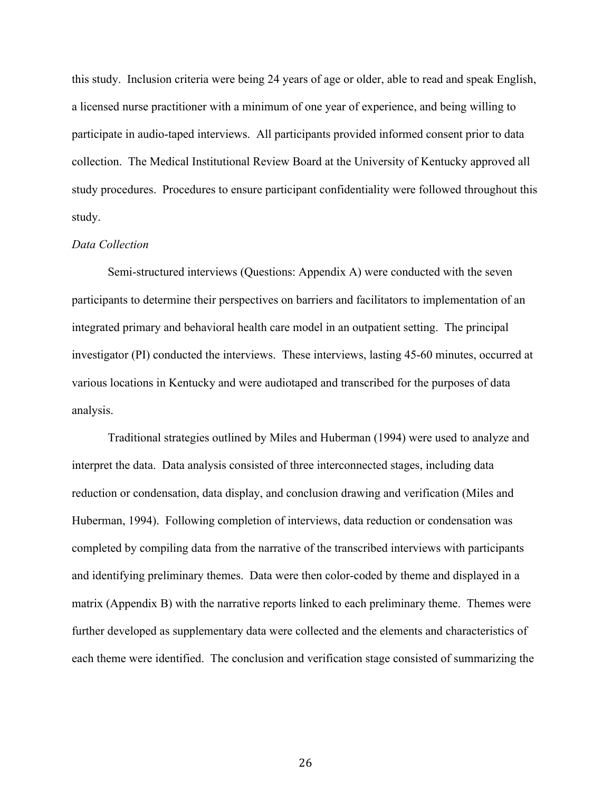this study. Inclusion criteria were being 24 years of age or older, able to read and speak English, a licensed nurse practitioner with a minimum of one year of experience, and being willing to participate in audio-taped interviews. All participants provided informed consent prior to data collection. The Medical Institutional Review Board at the University of Kentucky approved all study procedures. Procedures to ensure participant confidentiality were followed throughout this study.

#### *Data Collection*

Semi-structured interviews (Questions: Appendix A) were conducted with the seven participants to determine their perspectives on barriers and facilitators to implementation of an integrated primary and behavioral health care model in an outpatient setting. The principal investigator (PI) conducted the interviews. These interviews, lasting 45-60 minutes, occurred at various locations in Kentucky and were audiotaped and transcribed for the purposes of data analysis.

Traditional strategies outlined by Miles and Huberman (1994) were used to analyze and interpret the data. Data analysis consisted of three interconnected stages, including data reduction or condensation, data display, and conclusion drawing and verification (Miles and Huberman, 1994). Following completion of interviews, data reduction or condensation was completed by compiling data from the narrative of the transcribed interviews with participants and identifying preliminary themes. Data were then color-coded by theme and displayed in a matrix (Appendix B) with the narrative reports linked to each preliminary theme. Themes were further developed as supplementary data were collected and the elements and characteristics of each theme were identified. The conclusion and verification stage consisted of summarizing the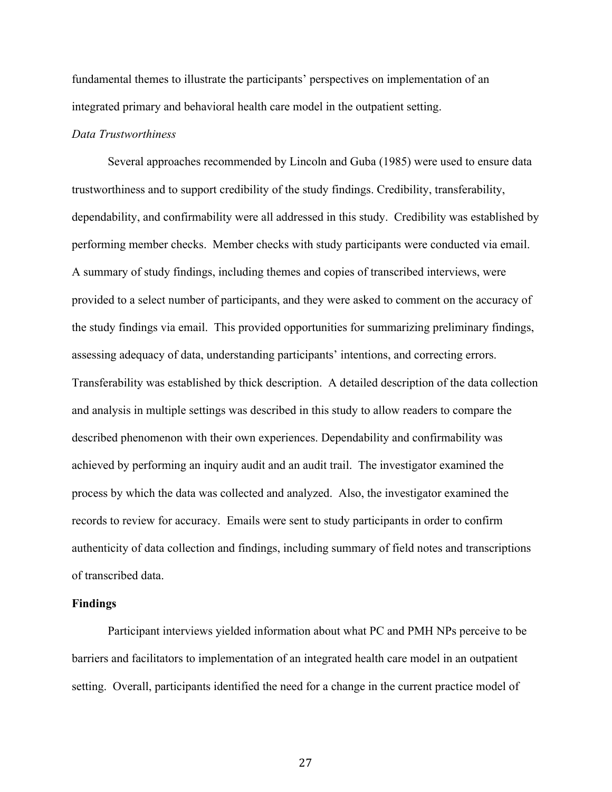fundamental themes to illustrate the participants' perspectives on implementation of an integrated primary and behavioral health care model in the outpatient setting.

#### *Data Trustworthiness*

Several approaches recommended by Lincoln and Guba (1985) were used to ensure data trustworthiness and to support credibility of the study findings. Credibility, transferability, dependability, and confirmability were all addressed in this study. Credibility was established by performing member checks. Member checks with study participants were conducted via email. A summary of study findings, including themes and copies of transcribed interviews, were provided to a select number of participants, and they were asked to comment on the accuracy of the study findings via email. This provided opportunities for summarizing preliminary findings, assessing adequacy of data, understanding participants' intentions, and correcting errors. Transferability was established by thick description. A detailed description of the data collection and analysis in multiple settings was described in this study to allow readers to compare the described phenomenon with their own experiences. Dependability and confirmability was achieved by performing an inquiry audit and an audit trail. The investigator examined the process by which the data was collected and analyzed. Also, the investigator examined the records to review for accuracy. Emails were sent to study participants in order to confirm authenticity of data collection and findings, including summary of field notes and transcriptions of transcribed data.

#### **Findings**

Participant interviews yielded information about what PC and PMH NPs perceive to be barriers and facilitators to implementation of an integrated health care model in an outpatient setting. Overall, participants identified the need for a change in the current practice model of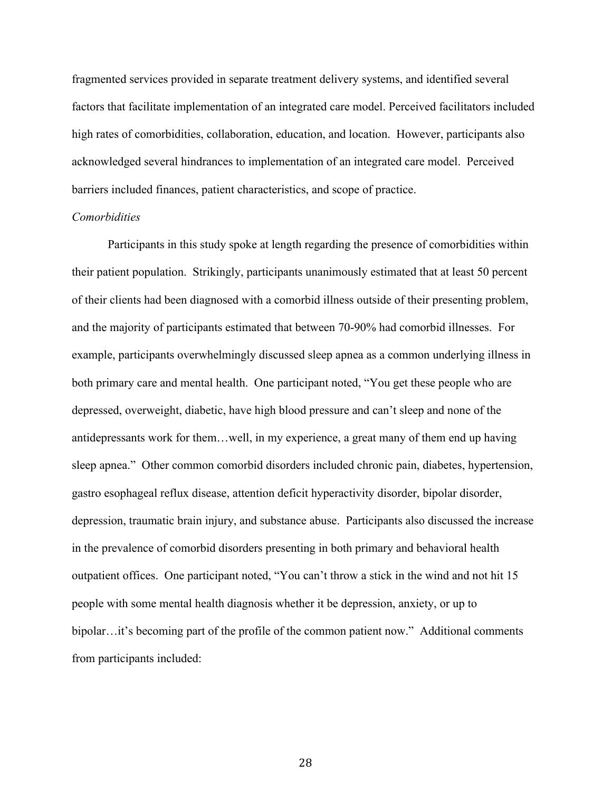fragmented services provided in separate treatment delivery systems, and identified several factors that facilitate implementation of an integrated care model. Perceived facilitators included high rates of comorbidities, collaboration, education, and location. However, participants also acknowledged several hindrances to implementation of an integrated care model. Perceived barriers included finances, patient characteristics, and scope of practice.

#### *Comorbidities*

Participants in this study spoke at length regarding the presence of comorbidities within their patient population. Strikingly, participants unanimously estimated that at least 50 percent of their clients had been diagnosed with a comorbid illness outside of their presenting problem, and the majority of participants estimated that between 70-90% had comorbid illnesses. For example, participants overwhelmingly discussed sleep apnea as a common underlying illness in both primary care and mental health. One participant noted, "You get these people who are depressed, overweight, diabetic, have high blood pressure and can't sleep and none of the antidepressants work for them…well, in my experience, a great many of them end up having sleep apnea." Other common comorbid disorders included chronic pain, diabetes, hypertension, gastro esophageal reflux disease, attention deficit hyperactivity disorder, bipolar disorder, depression, traumatic brain injury, and substance abuse. Participants also discussed the increase in the prevalence of comorbid disorders presenting in both primary and behavioral health outpatient offices. One participant noted, "You can't throw a stick in the wind and not hit 15 people with some mental health diagnosis whether it be depression, anxiety, or up to bipolar…it's becoming part of the profile of the common patient now." Additional comments from participants included: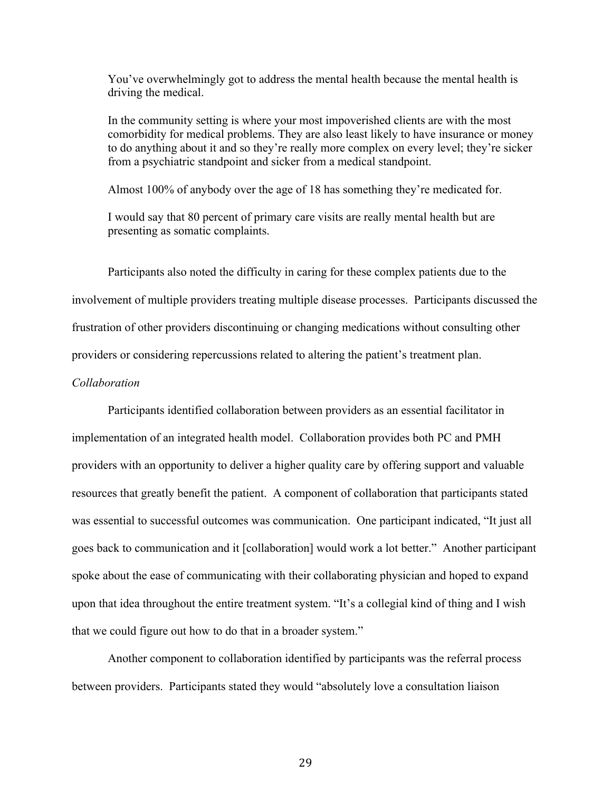You've overwhelmingly got to address the mental health because the mental health is driving the medical.

In the community setting is where your most impoverished clients are with the most comorbidity for medical problems. They are also least likely to have insurance or money to do anything about it and so they're really more complex on every level; they're sicker from a psychiatric standpoint and sicker from a medical standpoint.

Almost 100% of anybody over the age of 18 has something they're medicated for.

I would say that 80 percent of primary care visits are really mental health but are presenting as somatic complaints.

Participants also noted the difficulty in caring for these complex patients due to the involvement of multiple providers treating multiple disease processes. Participants discussed the frustration of other providers discontinuing or changing medications without consulting other providers or considering repercussions related to altering the patient's treatment plan.

#### *Collaboration*

Participants identified collaboration between providers as an essential facilitator in implementation of an integrated health model. Collaboration provides both PC and PMH providers with an opportunity to deliver a higher quality care by offering support and valuable resources that greatly benefit the patient. A component of collaboration that participants stated was essential to successful outcomes was communication. One participant indicated, "It just all goes back to communication and it [collaboration] would work a lot better." Another participant spoke about the ease of communicating with their collaborating physician and hoped to expand upon that idea throughout the entire treatment system. "It's a collegial kind of thing and I wish that we could figure out how to do that in a broader system."

Another component to collaboration identified by participants was the referral process between providers. Participants stated they would "absolutely love a consultation liaison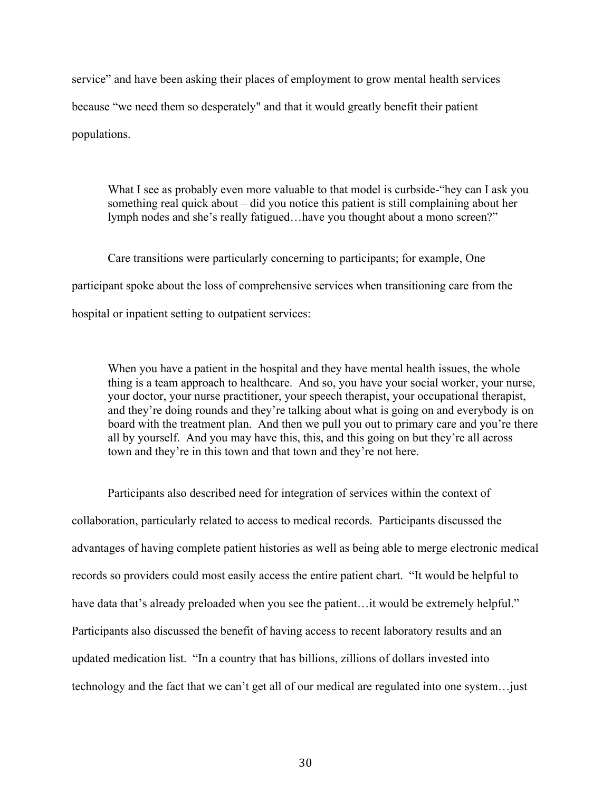service" and have been asking their places of employment to grow mental health services because "we need them so desperately" and that it would greatly benefit their patient populations.

What I see as probably even more valuable to that model is curbside-"hey can I ask you something real quick about – did you notice this patient is still complaining about her lymph nodes and she's really fatigued…have you thought about a mono screen?"

Care transitions were particularly concerning to participants; for example, One participant spoke about the loss of comprehensive services when transitioning care from the hospital or inpatient setting to outpatient services:

When you have a patient in the hospital and they have mental health issues, the whole thing is a team approach to healthcare. And so, you have your social worker, your nurse, your doctor, your nurse practitioner, your speech therapist, your occupational therapist, and they're doing rounds and they're talking about what is going on and everybody is on board with the treatment plan. And then we pull you out to primary care and you're there all by yourself. And you may have this, this, and this going on but they're all across town and they're in this town and that town and they're not here.

Participants also described need for integration of services within the context of collaboration, particularly related to access to medical records. Participants discussed the advantages of having complete patient histories as well as being able to merge electronic medical records so providers could most easily access the entire patient chart. "It would be helpful to have data that's already preloaded when you see the patient... it would be extremely helpful." Participants also discussed the benefit of having access to recent laboratory results and an updated medication list. "In a country that has billions, zillions of dollars invested into technology and the fact that we can't get all of our medical are regulated into one system…just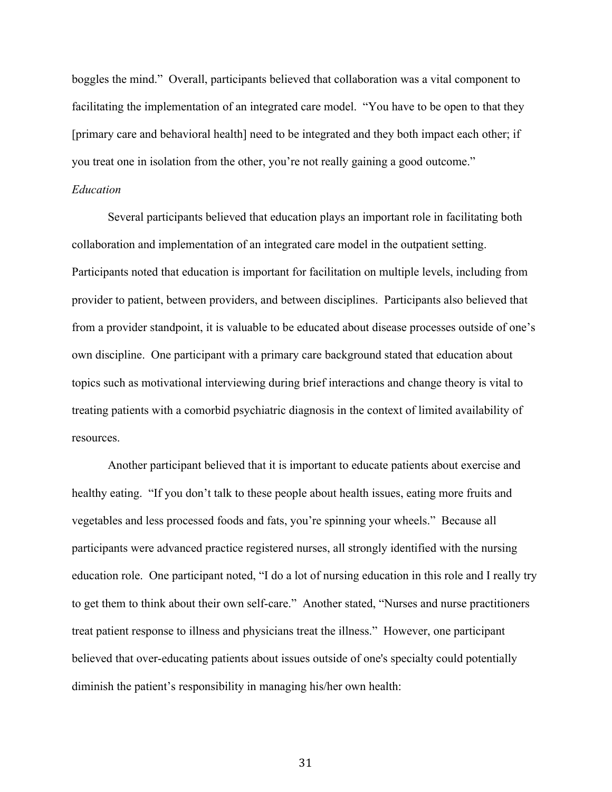boggles the mind." Overall, participants believed that collaboration was a vital component to facilitating the implementation of an integrated care model. "You have to be open to that they [primary care and behavioral health] need to be integrated and they both impact each other; if you treat one in isolation from the other, you're not really gaining a good outcome."

#### *Education*

Several participants believed that education plays an important role in facilitating both collaboration and implementation of an integrated care model in the outpatient setting. Participants noted that education is important for facilitation on multiple levels, including from provider to patient, between providers, and between disciplines. Participants also believed that from a provider standpoint, it is valuable to be educated about disease processes outside of one's own discipline. One participant with a primary care background stated that education about topics such as motivational interviewing during brief interactions and change theory is vital to treating patients with a comorbid psychiatric diagnosis in the context of limited availability of resources.

Another participant believed that it is important to educate patients about exercise and healthy eating. "If you don't talk to these people about health issues, eating more fruits and vegetables and less processed foods and fats, you're spinning your wheels." Because all participants were advanced practice registered nurses, all strongly identified with the nursing education role. One participant noted, "I do a lot of nursing education in this role and I really try to get them to think about their own self-care." Another stated, "Nurses and nurse practitioners treat patient response to illness and physicians treat the illness." However, one participant believed that over-educating patients about issues outside of one's specialty could potentially diminish the patient's responsibility in managing his/her own health: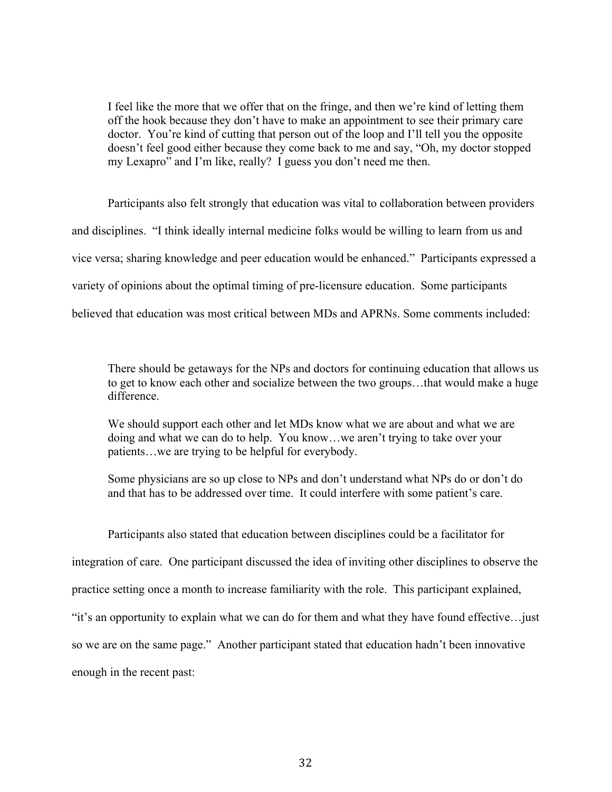I feel like the more that we offer that on the fringe, and then we're kind of letting them off the hook because they don't have to make an appointment to see their primary care doctor. You're kind of cutting that person out of the loop and I'll tell you the opposite doesn't feel good either because they come back to me and say, "Oh, my doctor stopped my Lexapro" and I'm like, really? I guess you don't need me then.

Participants also felt strongly that education was vital to collaboration between providers and disciplines. "I think ideally internal medicine folks would be willing to learn from us and vice versa; sharing knowledge and peer education would be enhanced." Participants expressed a variety of opinions about the optimal timing of pre-licensure education. Some participants believed that education was most critical between MDs and APRNs. Some comments included:

There should be getaways for the NPs and doctors for continuing education that allows us to get to know each other and socialize between the two groups…that would make a huge difference.

We should support each other and let MDs know what we are about and what we are doing and what we can do to help. You know…we aren't trying to take over your patients…we are trying to be helpful for everybody.

Some physicians are so up close to NPs and don't understand what NPs do or don't do and that has to be addressed over time. It could interfere with some patient's care.

Participants also stated that education between disciplines could be a facilitator for integration of care. One participant discussed the idea of inviting other disciplines to observe the practice setting once a month to increase familiarity with the role. This participant explained, "it's an opportunity to explain what we can do for them and what they have found effective…just so we are on the same page." Another participant stated that education hadn't been innovative enough in the recent past: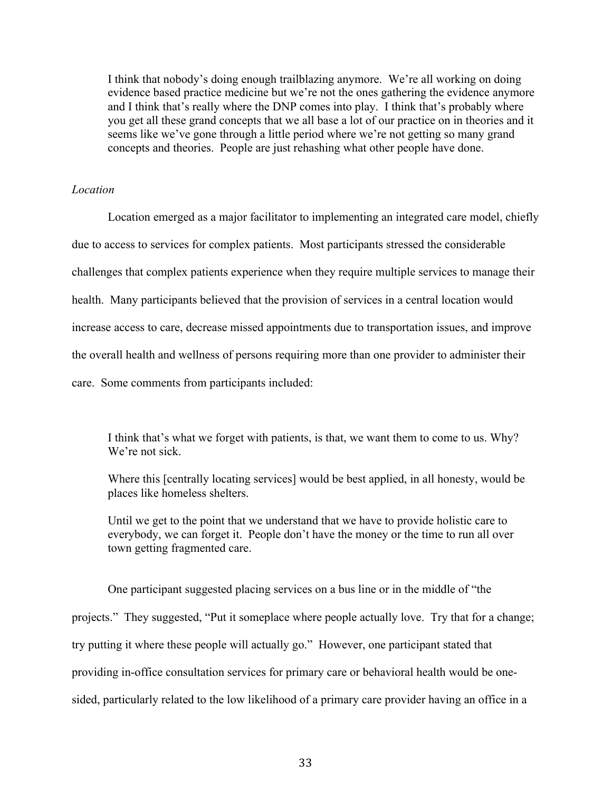I think that nobody's doing enough trailblazing anymore. We're all working on doing evidence based practice medicine but we're not the ones gathering the evidence anymore and I think that's really where the DNP comes into play. I think that's probably where you get all these grand concepts that we all base a lot of our practice on in theories and it seems like we've gone through a little period where we're not getting so many grand concepts and theories. People are just rehashing what other people have done.

#### *Location*

Location emerged as a major facilitator to implementing an integrated care model, chiefly due to access to services for complex patients. Most participants stressed the considerable challenges that complex patients experience when they require multiple services to manage their health. Many participants believed that the provision of services in a central location would increase access to care, decrease missed appointments due to transportation issues, and improve the overall health and wellness of persons requiring more than one provider to administer their care. Some comments from participants included:

I think that's what we forget with patients, is that, we want them to come to us. Why? We're not sick.

Where this [centrally locating services] would be best applied, in all honesty, would be places like homeless shelters.

Until we get to the point that we understand that we have to provide holistic care to everybody, we can forget it. People don't have the money or the time to run all over town getting fragmented care.

One participant suggested placing services on a bus line or in the middle of "the projects." They suggested, "Put it someplace where people actually love. Try that for a change; try putting it where these people will actually go." However, one participant stated that providing in-office consultation services for primary care or behavioral health would be onesided, particularly related to the low likelihood of a primary care provider having an office in a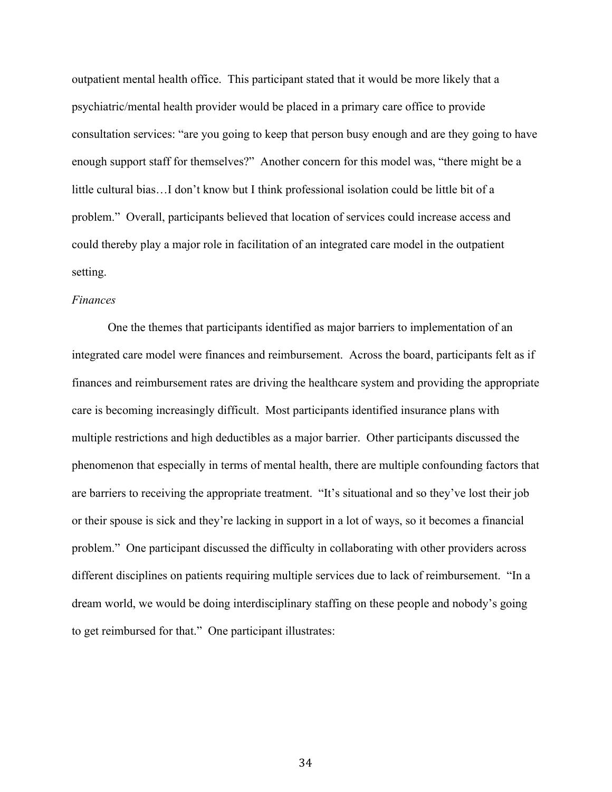outpatient mental health office. This participant stated that it would be more likely that a psychiatric/mental health provider would be placed in a primary care office to provide consultation services: "are you going to keep that person busy enough and are they going to have enough support staff for themselves?" Another concern for this model was, "there might be a little cultural bias…I don't know but I think professional isolation could be little bit of a problem." Overall, participants believed that location of services could increase access and could thereby play a major role in facilitation of an integrated care model in the outpatient setting.

#### *Finances*

One the themes that participants identified as major barriers to implementation of an integrated care model were finances and reimbursement. Across the board, participants felt as if finances and reimbursement rates are driving the healthcare system and providing the appropriate care is becoming increasingly difficult. Most participants identified insurance plans with multiple restrictions and high deductibles as a major barrier. Other participants discussed the phenomenon that especially in terms of mental health, there are multiple confounding factors that are barriers to receiving the appropriate treatment. "It's situational and so they've lost their job or their spouse is sick and they're lacking in support in a lot of ways, so it becomes a financial problem." One participant discussed the difficulty in collaborating with other providers across different disciplines on patients requiring multiple services due to lack of reimbursement. "In a dream world, we would be doing interdisciplinary staffing on these people and nobody's going to get reimbursed for that." One participant illustrates: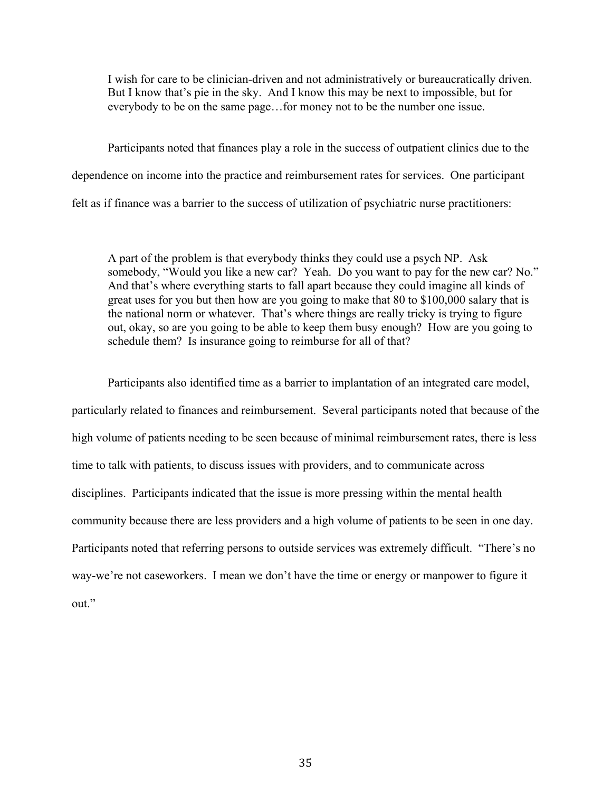I wish for care to be clinician-driven and not administratively or bureaucratically driven. But I know that's pie in the sky. And I know this may be next to impossible, but for everybody to be on the same page…for money not to be the number one issue.

Participants noted that finances play a role in the success of outpatient clinics due to the dependence on income into the practice and reimbursement rates for services. One participant felt as if finance was a barrier to the success of utilization of psychiatric nurse practitioners:

A part of the problem is that everybody thinks they could use a psych NP. Ask somebody, "Would you like a new car? Yeah. Do you want to pay for the new car? No." And that's where everything starts to fall apart because they could imagine all kinds of great uses for you but then how are you going to make that 80 to \$100,000 salary that is the national norm or whatever. That's where things are really tricky is trying to figure out, okay, so are you going to be able to keep them busy enough? How are you going to schedule them? Is insurance going to reimburse for all of that?

Participants also identified time as a barrier to implantation of an integrated care model, particularly related to finances and reimbursement. Several participants noted that because of the high volume of patients needing to be seen because of minimal reimbursement rates, there is less time to talk with patients, to discuss issues with providers, and to communicate across disciplines. Participants indicated that the issue is more pressing within the mental health community because there are less providers and a high volume of patients to be seen in one day. Participants noted that referring persons to outside services was extremely difficult. "There's no way-we're not caseworkers. I mean we don't have the time or energy or manpower to figure it out."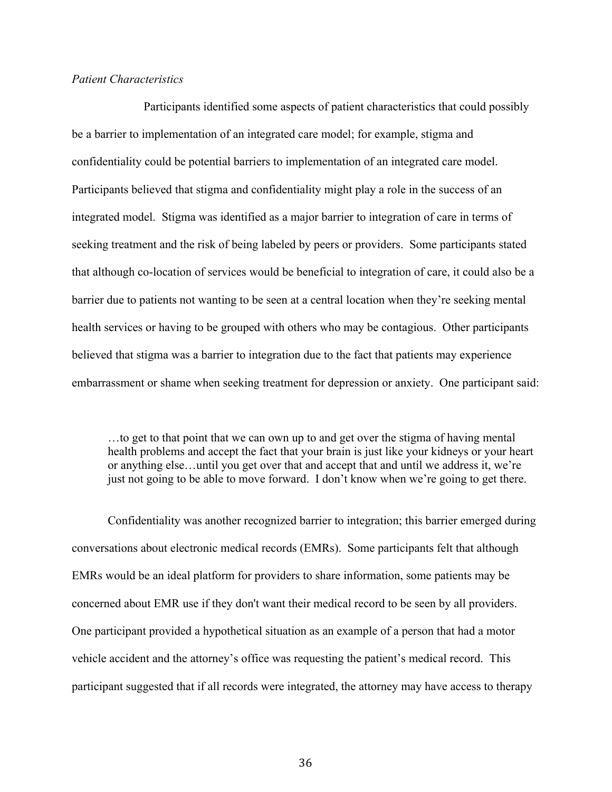#### *Patient Characteristics*

Participants identified some aspects of patient characteristics that could possibly be a barrier to implementation of an integrated care model; for example, stigma and confidentiality could be potential barriers to implementation of an integrated care model. Participants believed that stigma and confidentiality might play a role in the success of an integrated model. Stigma was identified as a major barrier to integration of care in terms of seeking treatment and the risk of being labeled by peers or providers. Some participants stated that although co-location of services would be beneficial to integration of care, it could also be a barrier due to patients not wanting to be seen at a central location when they're seeking mental health services or having to be grouped with others who may be contagious. Other participants believed that stigma was a barrier to integration due to the fact that patients may experience embarrassment or shame when seeking treatment for depression or anxiety. One participant said:

…to get to that point that we can own up to and get over the stigma of having mental health problems and accept the fact that your brain is just like your kidneys or your heart or anything else…until you get over that and accept that and until we address it, we're just not going to be able to move forward. I don't know when we're going to get there.

Confidentiality was another recognized barrier to integration; this barrier emerged during conversations about electronic medical records (EMRs). Some participants felt that although EMRs would be an ideal platform for providers to share information, some patients may be concerned about EMR use if they don't want their medical record to be seen by all providers. One participant provided a hypothetical situation as an example of a person that had a motor vehicle accident and the attorney's office was requesting the patient's medical record. This participant suggested that if all records were integrated, the attorney may have access to therapy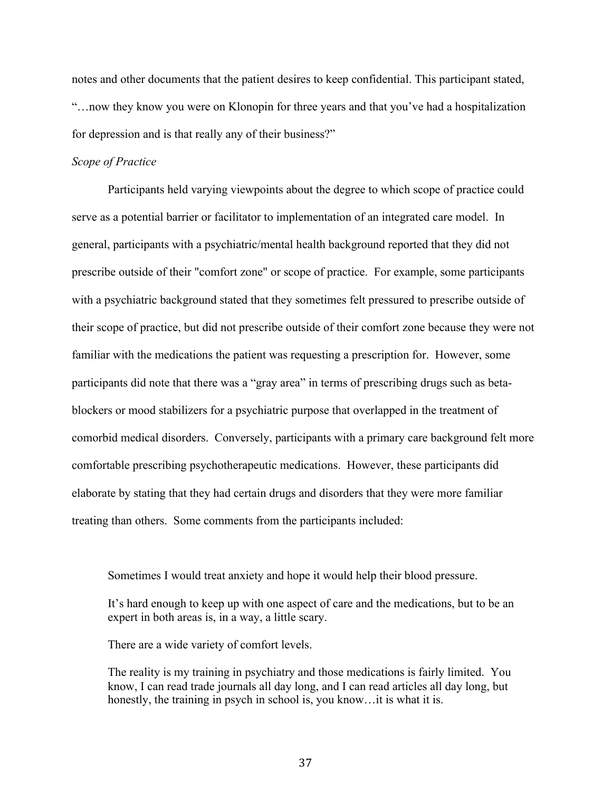notes and other documents that the patient desires to keep confidential. This participant stated, "…now they know you were on Klonopin for three years and that you've had a hospitalization for depression and is that really any of their business?"

#### *Scope of Practice*

Participants held varying viewpoints about the degree to which scope of practice could serve as a potential barrier or facilitator to implementation of an integrated care model. In general, participants with a psychiatric/mental health background reported that they did not prescribe outside of their "comfort zone" or scope of practice. For example, some participants with a psychiatric background stated that they sometimes felt pressured to prescribe outside of their scope of practice, but did not prescribe outside of their comfort zone because they were not familiar with the medications the patient was requesting a prescription for. However, some participants did note that there was a "gray area" in terms of prescribing drugs such as betablockers or mood stabilizers for a psychiatric purpose that overlapped in the treatment of comorbid medical disorders. Conversely, participants with a primary care background felt more comfortable prescribing psychotherapeutic medications. However, these participants did elaborate by stating that they had certain drugs and disorders that they were more familiar treating than others. Some comments from the participants included:

Sometimes I would treat anxiety and hope it would help their blood pressure.

It's hard enough to keep up with one aspect of care and the medications, but to be an expert in both areas is, in a way, a little scary.

There are a wide variety of comfort levels.

The reality is my training in psychiatry and those medications is fairly limited. You know, I can read trade journals all day long, and I can read articles all day long, but honestly, the training in psych in school is, you know... it is what it is.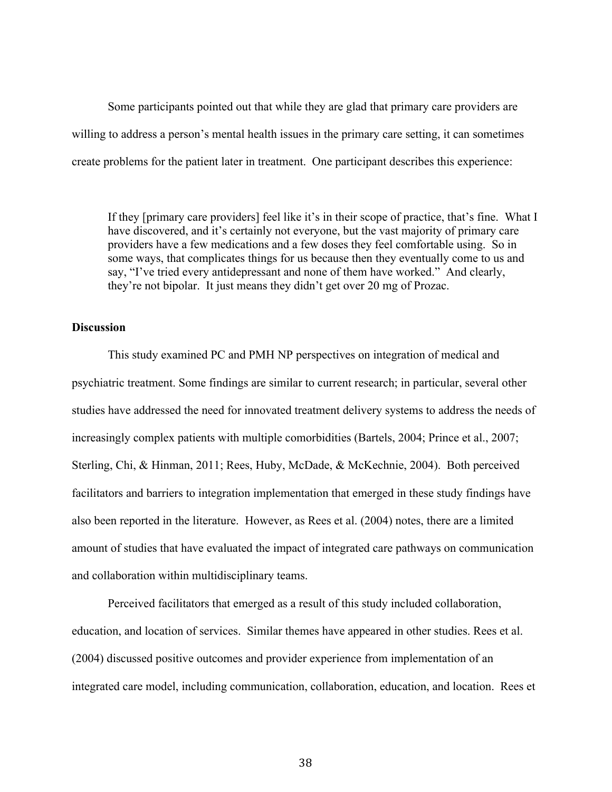Some participants pointed out that while they are glad that primary care providers are willing to address a person's mental health issues in the primary care setting, it can sometimes create problems for the patient later in treatment. One participant describes this experience:

If they [primary care providers] feel like it's in their scope of practice, that's fine. What I have discovered, and it's certainly not everyone, but the vast majority of primary care providers have a few medications and a few doses they feel comfortable using. So in some ways, that complicates things for us because then they eventually come to us and say, "I've tried every antidepressant and none of them have worked." And clearly, they're not bipolar. It just means they didn't get over 20 mg of Prozac.

#### **Discussion**

This study examined PC and PMH NP perspectives on integration of medical and psychiatric treatment. Some findings are similar to current research; in particular, several other studies have addressed the need for innovated treatment delivery systems to address the needs of increasingly complex patients with multiple comorbidities (Bartels, 2004; Prince et al., 2007; Sterling, Chi, & Hinman, 2011; Rees, Huby, McDade, & McKechnie, 2004). Both perceived facilitators and barriers to integration implementation that emerged in these study findings have also been reported in the literature. However, as Rees et al. (2004) notes, there are a limited amount of studies that have evaluated the impact of integrated care pathways on communication and collaboration within multidisciplinary teams.

Perceived facilitators that emerged as a result of this study included collaboration, education, and location of services. Similar themes have appeared in other studies. Rees et al. (2004) discussed positive outcomes and provider experience from implementation of an integrated care model, including communication, collaboration, education, and location. Rees et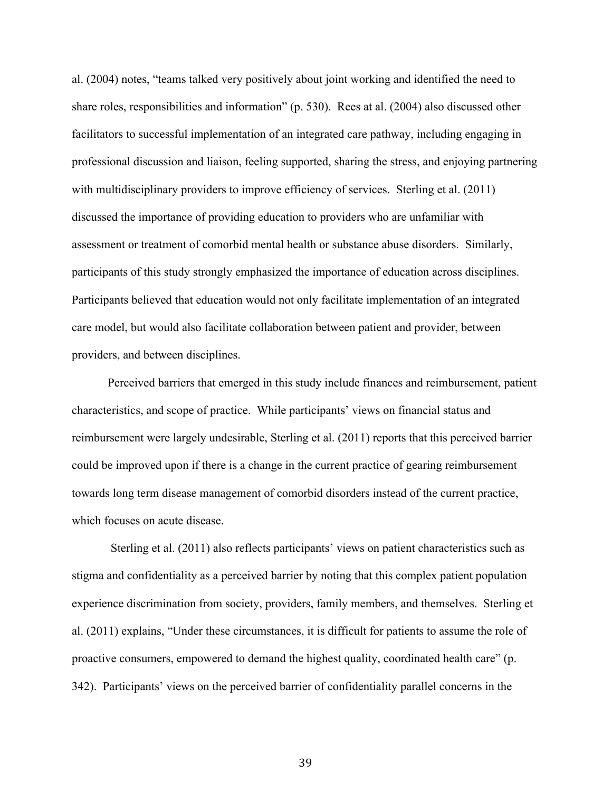al. (2004) notes, "teams talked very positively about joint working and identified the need to share roles, responsibilities and information" (p. 530). Rees at al. (2004) also discussed other facilitators to successful implementation of an integrated care pathway, including engaging in professional discussion and liaison, feeling supported, sharing the stress, and enjoying partnering with multidisciplinary providers to improve efficiency of services. Sterling et al. (2011) discussed the importance of providing education to providers who are unfamiliar with assessment or treatment of comorbid mental health or substance abuse disorders. Similarly, participants of this study strongly emphasized the importance of education across disciplines. Participants believed that education would not only facilitate implementation of an integrated care model, but would also facilitate collaboration between patient and provider, between providers, and between disciplines.

Perceived barriers that emerged in this study include finances and reimbursement, patient characteristics, and scope of practice. While participants' views on financial status and reimbursement were largely undesirable, Sterling et al. (2011) reports that this perceived barrier could be improved upon if there is a change in the current practice of gearing reimbursement towards long term disease management of comorbid disorders instead of the current practice, which focuses on acute disease.

Sterling et al. (2011) also reflects participants' views on patient characteristics such as stigma and confidentiality as a perceived barrier by noting that this complex patient population experience discrimination from society, providers, family members, and themselves. Sterling et al. (2011) explains, "Under these circumstances, it is difficult for patients to assume the role of proactive consumers, empowered to demand the highest quality, coordinated health care" (p. 342). Participants' views on the perceived barrier of confidentiality parallel concerns in the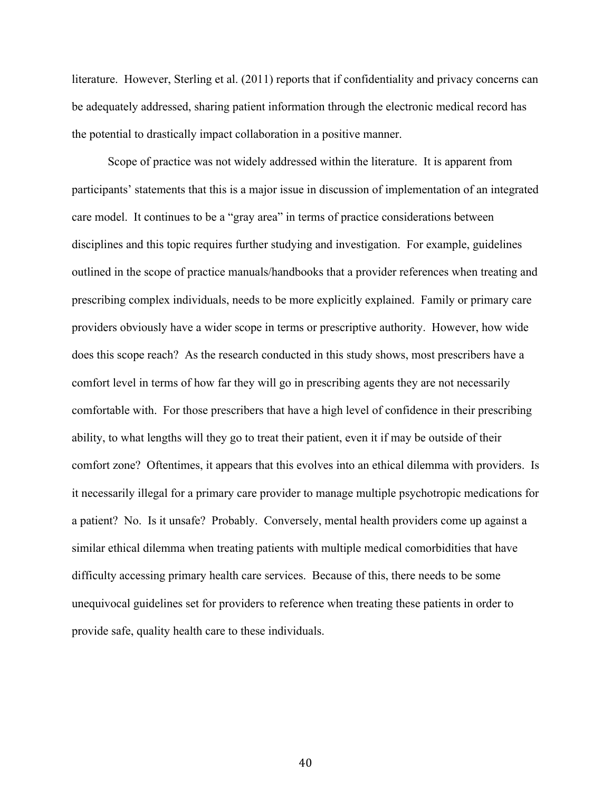literature. However, Sterling et al. (2011) reports that if confidentiality and privacy concerns can be adequately addressed, sharing patient information through the electronic medical record has the potential to drastically impact collaboration in a positive manner.

Scope of practice was not widely addressed within the literature. It is apparent from participants' statements that this is a major issue in discussion of implementation of an integrated care model. It continues to be a "gray area" in terms of practice considerations between disciplines and this topic requires further studying and investigation. For example, guidelines outlined in the scope of practice manuals/handbooks that a provider references when treating and prescribing complex individuals, needs to be more explicitly explained. Family or primary care providers obviously have a wider scope in terms or prescriptive authority. However, how wide does this scope reach? As the research conducted in this study shows, most prescribers have a comfort level in terms of how far they will go in prescribing agents they are not necessarily comfortable with. For those prescribers that have a high level of confidence in their prescribing ability, to what lengths will they go to treat their patient, even it if may be outside of their comfort zone? Oftentimes, it appears that this evolves into an ethical dilemma with providers. Is it necessarily illegal for a primary care provider to manage multiple psychotropic medications for a patient? No. Is it unsafe? Probably. Conversely, mental health providers come up against a similar ethical dilemma when treating patients with multiple medical comorbidities that have difficulty accessing primary health care services. Because of this, there needs to be some unequivocal guidelines set for providers to reference when treating these patients in order to provide safe, quality health care to these individuals.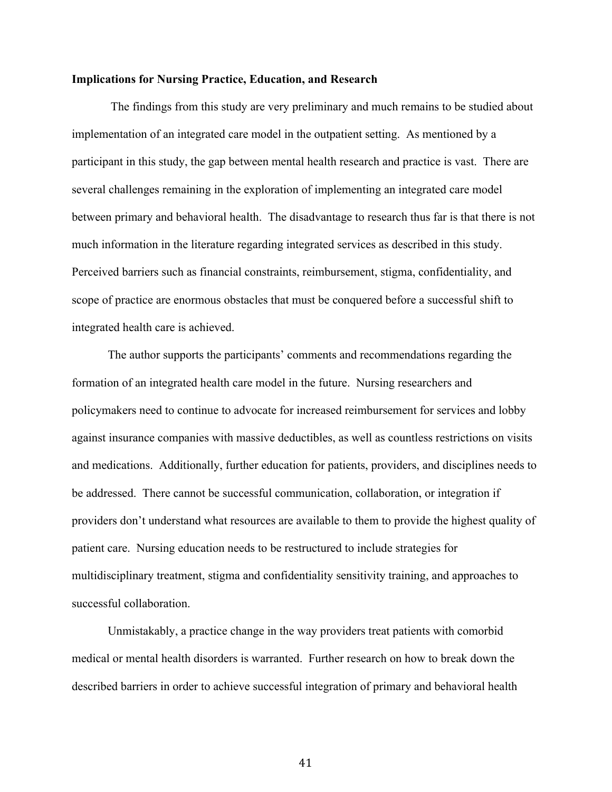#### **Implications for Nursing Practice, Education, and Research**

The findings from this study are very preliminary and much remains to be studied about implementation of an integrated care model in the outpatient setting. As mentioned by a participant in this study, the gap between mental health research and practice is vast. There are several challenges remaining in the exploration of implementing an integrated care model between primary and behavioral health. The disadvantage to research thus far is that there is not much information in the literature regarding integrated services as described in this study. Perceived barriers such as financial constraints, reimbursement, stigma, confidentiality, and scope of practice are enormous obstacles that must be conquered before a successful shift to integrated health care is achieved.

The author supports the participants' comments and recommendations regarding the formation of an integrated health care model in the future. Nursing researchers and policymakers need to continue to advocate for increased reimbursement for services and lobby against insurance companies with massive deductibles, as well as countless restrictions on visits and medications. Additionally, further education for patients, providers, and disciplines needs to be addressed. There cannot be successful communication, collaboration, or integration if providers don't understand what resources are available to them to provide the highest quality of patient care. Nursing education needs to be restructured to include strategies for multidisciplinary treatment, stigma and confidentiality sensitivity training, and approaches to successful collaboration.

Unmistakably, a practice change in the way providers treat patients with comorbid medical or mental health disorders is warranted. Further research on how to break down the described barriers in order to achieve successful integration of primary and behavioral health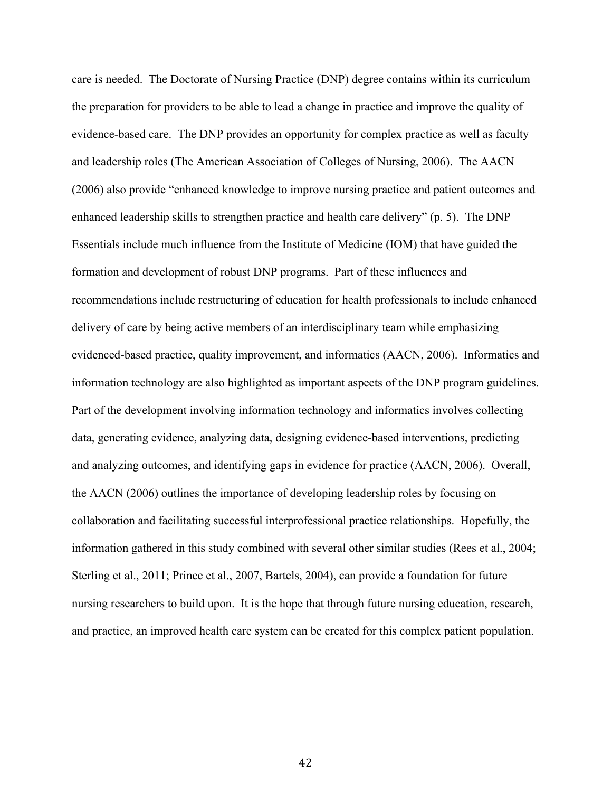care is needed. The Doctorate of Nursing Practice (DNP) degree contains within its curriculum the preparation for providers to be able to lead a change in practice and improve the quality of evidence-based care. The DNP provides an opportunity for complex practice as well as faculty and leadership roles (The American Association of Colleges of Nursing, 2006). The AACN (2006) also provide "enhanced knowledge to improve nursing practice and patient outcomes and enhanced leadership skills to strengthen practice and health care delivery" (p. 5). The DNP Essentials include much influence from the Institute of Medicine (IOM) that have guided the formation and development of robust DNP programs. Part of these influences and recommendations include restructuring of education for health professionals to include enhanced delivery of care by being active members of an interdisciplinary team while emphasizing evidenced-based practice, quality improvement, and informatics (AACN, 2006). Informatics and information technology are also highlighted as important aspects of the DNP program guidelines. Part of the development involving information technology and informatics involves collecting data, generating evidence, analyzing data, designing evidence-based interventions, predicting and analyzing outcomes, and identifying gaps in evidence for practice (AACN, 2006). Overall, the AACN (2006) outlines the importance of developing leadership roles by focusing on collaboration and facilitating successful interprofessional practice relationships. Hopefully, the information gathered in this study combined with several other similar studies (Rees et al., 2004; Sterling et al., 2011; Prince et al., 2007, Bartels, 2004), can provide a foundation for future nursing researchers to build upon. It is the hope that through future nursing education, research, and practice, an improved health care system can be created for this complex patient population.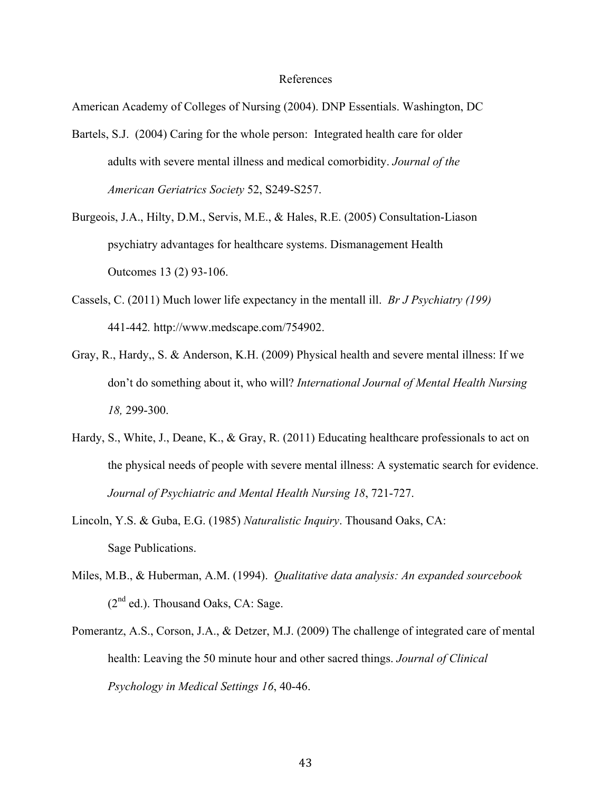#### References

American Academy of Colleges of Nursing (2004). DNP Essentials. Washington, DC

- Bartels, S.J. (2004) Caring for the whole person: Integrated health care for older adults with severe mental illness and medical comorbidity. *Journal of the American Geriatrics Society* 52, S249-S257.
- Burgeois, J.A., Hilty, D.M., Servis, M.E., & Hales, R.E. (2005) Consultation-Liason psychiatry advantages for healthcare systems. Dismanagement Health Outcomes 13 (2) 93-106.
- Cassels, C. (2011) Much lower life expectancy in the mentall ill. *Br J Psychiatry (199)*  441-442*.* http://www.medscape.com/754902.
- Gray, R., Hardy,, S. & Anderson, K.H. (2009) Physical health and severe mental illness: If we don't do something about it, who will? *International Journal of Mental Health Nursing 18,* 299-300.
- Hardy, S., White, J., Deane, K., & Gray, R. (2011) Educating healthcare professionals to act on the physical needs of people with severe mental illness: A systematic search for evidence. *Journal of Psychiatric and Mental Health Nursing 18*, 721-727.
- Lincoln, Y.S. & Guba, E.G. (1985) *Naturalistic Inquiry*. Thousand Oaks, CA: Sage Publications.
- Miles, M.B., & Huberman, A.M. (1994). *Qualitative data analysis: An expanded sourcebook*   $(2^{nd}$  ed.). Thousand Oaks, CA: Sage.
- Pomerantz, A.S., Corson, J.A., & Detzer, M.J. (2009) The challenge of integrated care of mental health: Leaving the 50 minute hour and other sacred things. *Journal of Clinical Psychology in Medical Settings 16*, 40-46.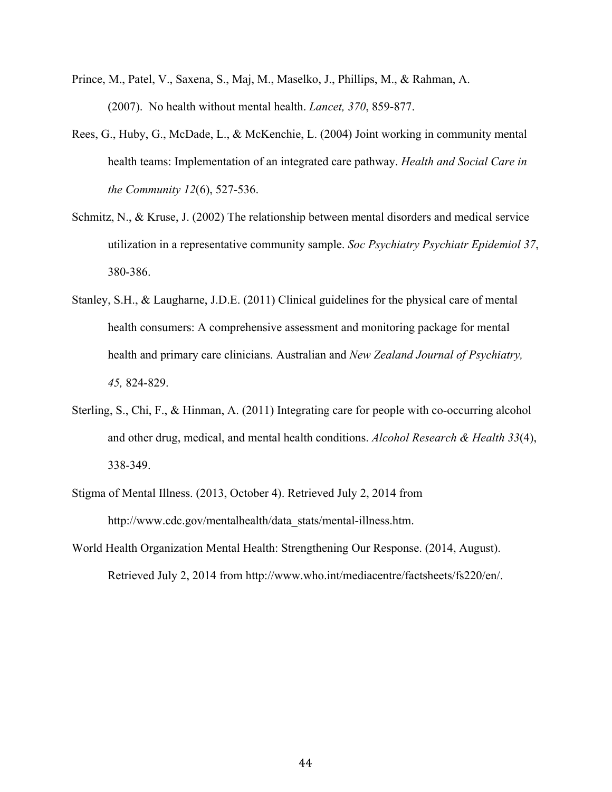- Prince, M., Patel, V., Saxena, S., Maj, M., Maselko, J., Phillips, M., & Rahman, A. (2007). No health without mental health. *Lancet, 370*, 859-877.
- Rees, G., Huby, G., McDade, L., & McKenchie, L. (2004) Joint working in community mental health teams: Implementation of an integrated care pathway. *Health and Social Care in the Community 12*(6), 527-536.
- Schmitz, N., & Kruse, J. (2002) The relationship between mental disorders and medical service utilization in a representative community sample. *Soc Psychiatry Psychiatr Epidemiol 37*, 380-386.
- Stanley, S.H., & Laugharne, J.D.E. (2011) Clinical guidelines for the physical care of mental health consumers: A comprehensive assessment and monitoring package for mental health and primary care clinicians. Australian and *New Zealand Journal of Psychiatry, 45,* 824-829.
- Sterling, S., Chi, F., & Hinman, A. (2011) Integrating care for people with co-occurring alcohol and other drug, medical, and mental health conditions. *Alcohol Research & Health 33*(4), 338-349.
- Stigma of Mental Illness. (2013, October 4). Retrieved July 2, 2014 from http://www.cdc.gov/mentalhealth/data\_stats/mental-illness.htm.
- World Health Organization Mental Health: Strengthening Our Response. (2014, August). Retrieved July 2, 2014 from http://www.who.int/mediacentre/factsheets/fs220/en/.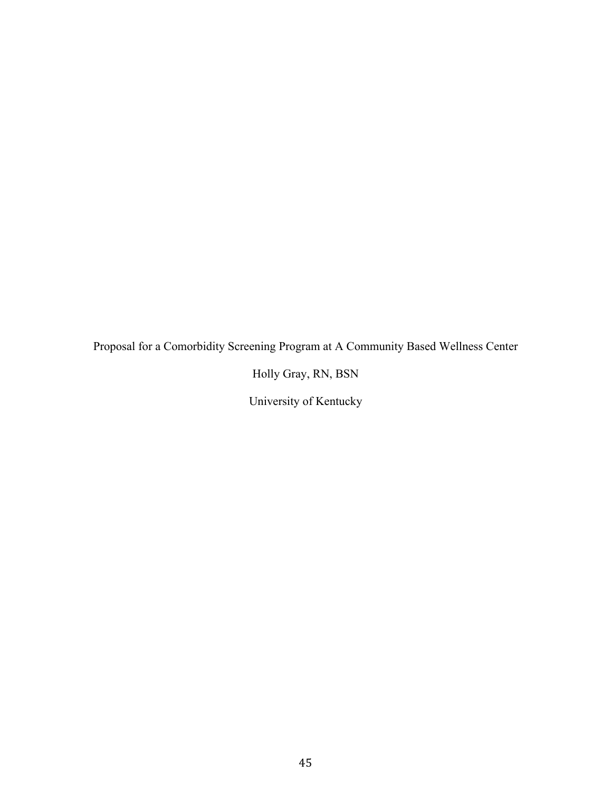Proposal for a Comorbidity Screening Program at A Community Based Wellness Center

Holly Gray, RN, BSN

University of Kentucky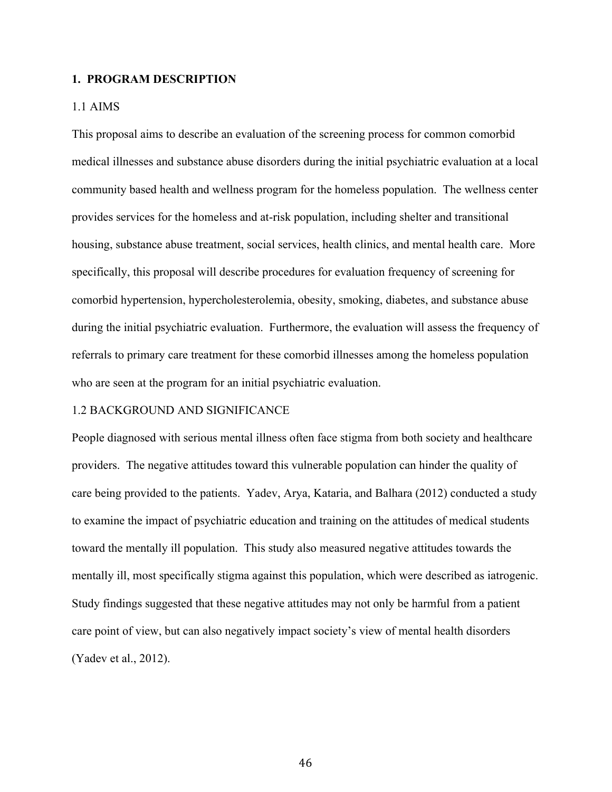#### **1. PROGRAM DESCRIPTION**

#### 1.1 AIMS

This proposal aims to describe an evaluation of the screening process for common comorbid medical illnesses and substance abuse disorders during the initial psychiatric evaluation at a local community based health and wellness program for the homeless population. The wellness center provides services for the homeless and at-risk population, including shelter and transitional housing, substance abuse treatment, social services, health clinics, and mental health care. More specifically, this proposal will describe procedures for evaluation frequency of screening for comorbid hypertension, hypercholesterolemia, obesity, smoking, diabetes, and substance abuse during the initial psychiatric evaluation. Furthermore, the evaluation will assess the frequency of referrals to primary care treatment for these comorbid illnesses among the homeless population who are seen at the program for an initial psychiatric evaluation.

#### 1.2 BACKGROUND AND SIGNIFICANCE

People diagnosed with serious mental illness often face stigma from both society and healthcare providers. The negative attitudes toward this vulnerable population can hinder the quality of care being provided to the patients. Yadev, Arya, Kataria, and Balhara (2012) conducted a study to examine the impact of psychiatric education and training on the attitudes of medical students toward the mentally ill population. This study also measured negative attitudes towards the mentally ill, most specifically stigma against this population, which were described as iatrogenic. Study findings suggested that these negative attitudes may not only be harmful from a patient care point of view, but can also negatively impact society's view of mental health disorders (Yadev et al., 2012).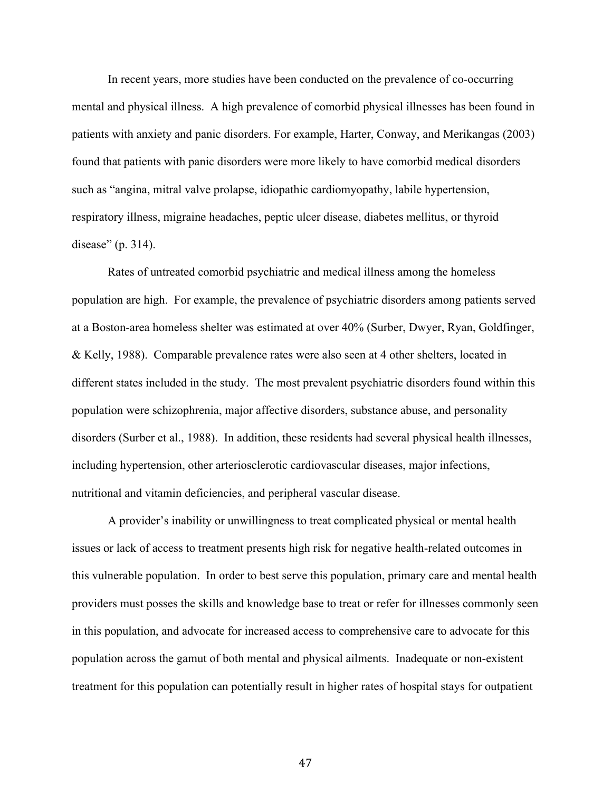In recent years, more studies have been conducted on the prevalence of co-occurring mental and physical illness. A high prevalence of comorbid physical illnesses has been found in patients with anxiety and panic disorders. For example, Harter, Conway, and Merikangas (2003) found that patients with panic disorders were more likely to have comorbid medical disorders such as "angina, mitral valve prolapse, idiopathic cardiomyopathy, labile hypertension, respiratory illness, migraine headaches, peptic ulcer disease, diabetes mellitus, or thyroid disease" (p. 314).

Rates of untreated comorbid psychiatric and medical illness among the homeless population are high. For example, the prevalence of psychiatric disorders among patients served at a Boston-area homeless shelter was estimated at over 40% (Surber, Dwyer, Ryan, Goldfinger, & Kelly, 1988). Comparable prevalence rates were also seen at 4 other shelters, located in different states included in the study. The most prevalent psychiatric disorders found within this population were schizophrenia, major affective disorders, substance abuse, and personality disorders (Surber et al., 1988). In addition, these residents had several physical health illnesses, including hypertension, other arteriosclerotic cardiovascular diseases, major infections, nutritional and vitamin deficiencies, and peripheral vascular disease.

A provider's inability or unwillingness to treat complicated physical or mental health issues or lack of access to treatment presents high risk for negative health-related outcomes in this vulnerable population. In order to best serve this population, primary care and mental health providers must posses the skills and knowledge base to treat or refer for illnesses commonly seen in this population, and advocate for increased access to comprehensive care to advocate for this population across the gamut of both mental and physical ailments. Inadequate or non-existent treatment for this population can potentially result in higher rates of hospital stays for outpatient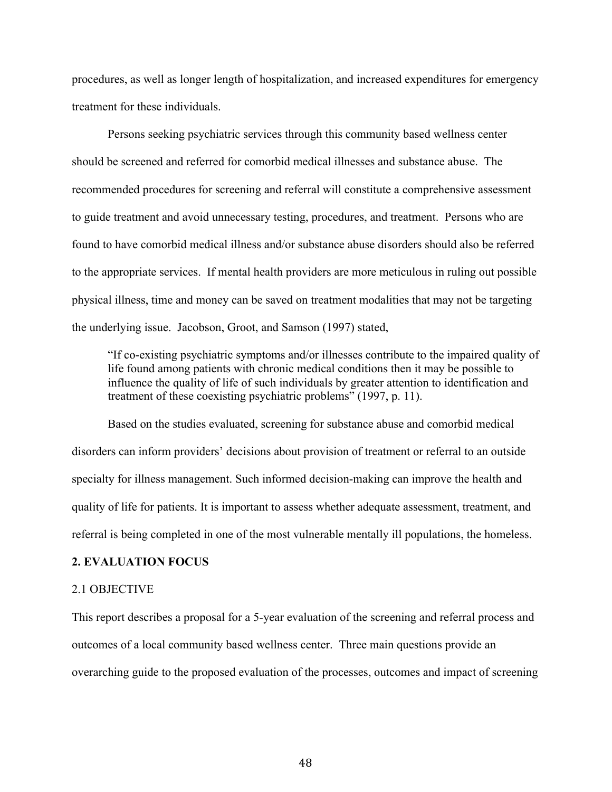procedures, as well as longer length of hospitalization, and increased expenditures for emergency treatment for these individuals.

Persons seeking psychiatric services through this community based wellness center should be screened and referred for comorbid medical illnesses and substance abuse. The recommended procedures for screening and referral will constitute a comprehensive assessment to guide treatment and avoid unnecessary testing, procedures, and treatment. Persons who are found to have comorbid medical illness and/or substance abuse disorders should also be referred to the appropriate services. If mental health providers are more meticulous in ruling out possible physical illness, time and money can be saved on treatment modalities that may not be targeting the underlying issue. Jacobson, Groot, and Samson (1997) stated,

"If co-existing psychiatric symptoms and/or illnesses contribute to the impaired quality of life found among patients with chronic medical conditions then it may be possible to influence the quality of life of such individuals by greater attention to identification and treatment of these coexisting psychiatric problems" (1997, p. 11).

Based on the studies evaluated, screening for substance abuse and comorbid medical disorders can inform providers' decisions about provision of treatment or referral to an outside specialty for illness management. Such informed decision-making can improve the health and quality of life for patients. It is important to assess whether adequate assessment, treatment, and referral is being completed in one of the most vulnerable mentally ill populations, the homeless.

#### **2. EVALUATION FOCUS**

#### 2.1 OBJECTIVE

This report describes a proposal for a 5-year evaluation of the screening and referral process and outcomes of a local community based wellness center. Three main questions provide an overarching guide to the proposed evaluation of the processes, outcomes and impact of screening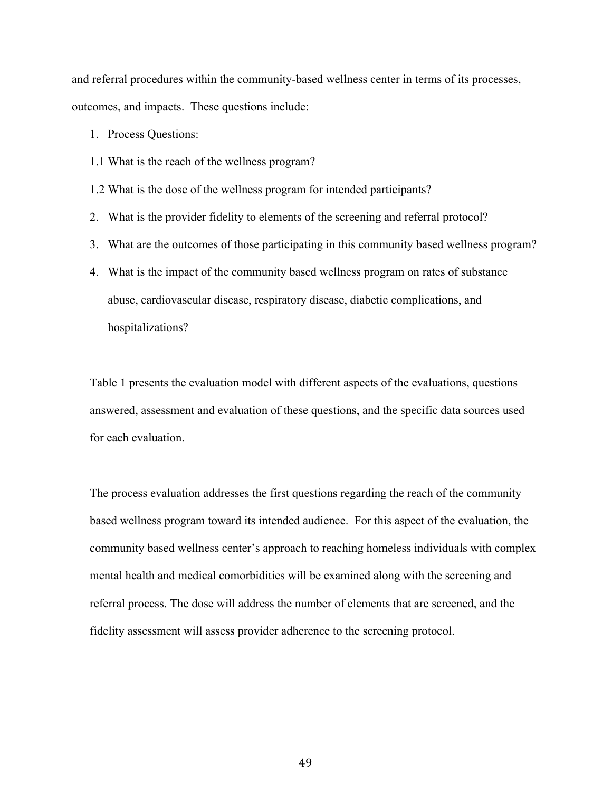and referral procedures within the community-based wellness center in terms of its processes, outcomes, and impacts. These questions include:

- 1. Process Questions:
- 1.1 What is the reach of the wellness program?

1.2 What is the dose of the wellness program for intended participants?

- 2. What is the provider fidelity to elements of the screening and referral protocol?
- 3. What are the outcomes of those participating in this community based wellness program?
- 4. What is the impact of the community based wellness program on rates of substance abuse, cardiovascular disease, respiratory disease, diabetic complications, and hospitalizations?

Table 1 presents the evaluation model with different aspects of the evaluations, questions answered, assessment and evaluation of these questions, and the specific data sources used for each evaluation.

The process evaluation addresses the first questions regarding the reach of the community based wellness program toward its intended audience. For this aspect of the evaluation, the community based wellness center's approach to reaching homeless individuals with complex mental health and medical comorbidities will be examined along with the screening and referral process. The dose will address the number of elements that are screened, and the fidelity assessment will assess provider adherence to the screening protocol.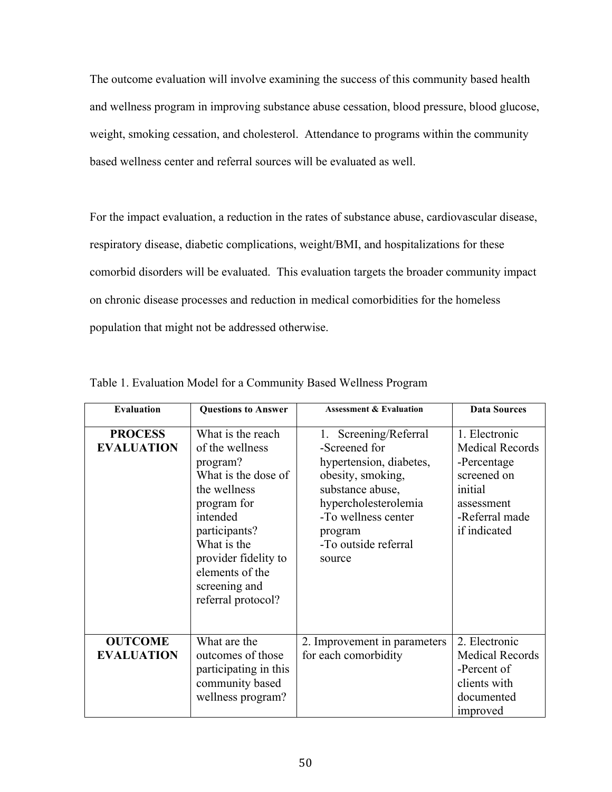The outcome evaluation will involve examining the success of this community based health and wellness program in improving substance abuse cessation, blood pressure, blood glucose, weight, smoking cessation, and cholesterol. Attendance to programs within the community based wellness center and referral sources will be evaluated as well.

For the impact evaluation, a reduction in the rates of substance abuse, cardiovascular disease, respiratory disease, diabetic complications, weight/BMI, and hospitalizations for these comorbid disorders will be evaluated. This evaluation targets the broader community impact on chronic disease processes and reduction in medical comorbidities for the homeless population that might not be addressed otherwise.

| <b>Evaluation</b>                   | <b>Questions to Answer</b>                                                                                                                                                                                                           | <b>Assessment &amp; Evaluation</b>                                                                                                                                                                        | <b>Data Sources</b>                                                                                                              |
|-------------------------------------|--------------------------------------------------------------------------------------------------------------------------------------------------------------------------------------------------------------------------------------|-----------------------------------------------------------------------------------------------------------------------------------------------------------------------------------------------------------|----------------------------------------------------------------------------------------------------------------------------------|
| <b>PROCESS</b><br><b>EVALUATION</b> | What is the reach<br>of the wellness<br>program?<br>What is the dose of<br>the wellness<br>program for<br>intended<br>participants?<br>What is the<br>provider fidelity to<br>elements of the<br>screening and<br>referral protocol? | Screening/Referral<br>1.<br>-Screened for<br>hypertension, diabetes,<br>obesity, smoking,<br>substance abuse,<br>hypercholesterolemia<br>-To wellness center<br>program<br>-To outside referral<br>source | 1. Electronic<br><b>Medical Records</b><br>-Percentage<br>screened on<br>initial<br>assessment<br>-Referral made<br>if indicated |
| <b>OUTCOME</b><br><b>EVALUATION</b> | What are the<br>outcomes of those<br>participating in this<br>community based<br>wellness program?                                                                                                                                   | 2. Improvement in parameters<br>for each comorbidity                                                                                                                                                      | 2. Electronic<br><b>Medical Records</b><br>-Percent of<br>clients with<br>documented<br>improved                                 |

Table 1. Evaluation Model for a Community Based Wellness Program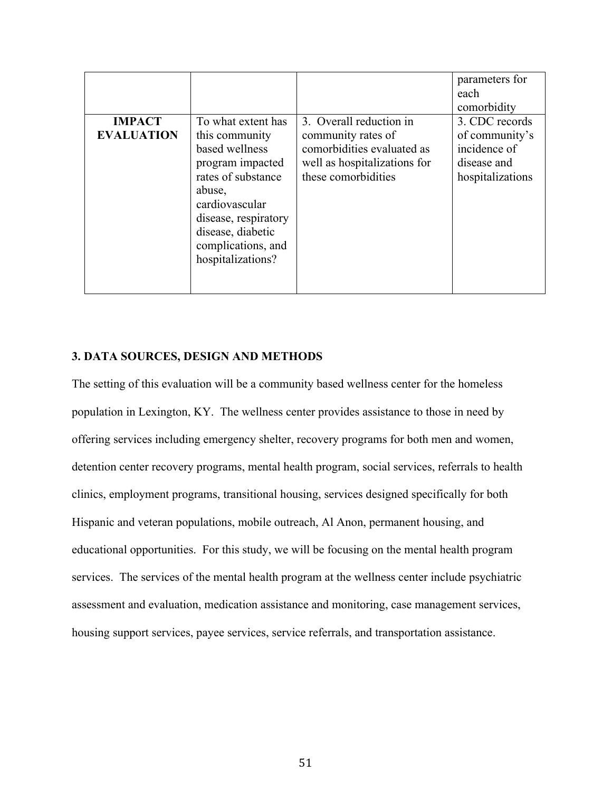|                   |                      |                              | parameters for   |
|-------------------|----------------------|------------------------------|------------------|
|                   |                      |                              | each             |
|                   |                      |                              | comorbidity      |
| <b>IMPACT</b>     | To what extent has   | 3. Overall reduction in      | 3. CDC records   |
| <b>EVALUATION</b> | this community       | community rates of           | of community's   |
|                   | based wellness       | comorbidities evaluated as   | incidence of     |
|                   | program impacted     | well as hospitalizations for | disease and      |
|                   | rates of substance   | these comorbidities          | hospitalizations |
|                   | abuse,               |                              |                  |
|                   | cardiovascular       |                              |                  |
|                   | disease, respiratory |                              |                  |
|                   | disease, diabetic    |                              |                  |
|                   | complications, and   |                              |                  |
|                   | hospitalizations?    |                              |                  |
|                   |                      |                              |                  |
|                   |                      |                              |                  |

#### **3. DATA SOURCES, DESIGN AND METHODS**

The setting of this evaluation will be a community based wellness center for the homeless population in Lexington, KY. The wellness center provides assistance to those in need by offering services including emergency shelter, recovery programs for both men and women, detention center recovery programs, mental health program, social services, referrals to health clinics, employment programs, transitional housing, services designed specifically for both Hispanic and veteran populations, mobile outreach, Al Anon, permanent housing, and educational opportunities. For this study, we will be focusing on the mental health program services. The services of the mental health program at the wellness center include psychiatric assessment and evaluation, medication assistance and monitoring, case management services, housing support services, payee services, service referrals, and transportation assistance.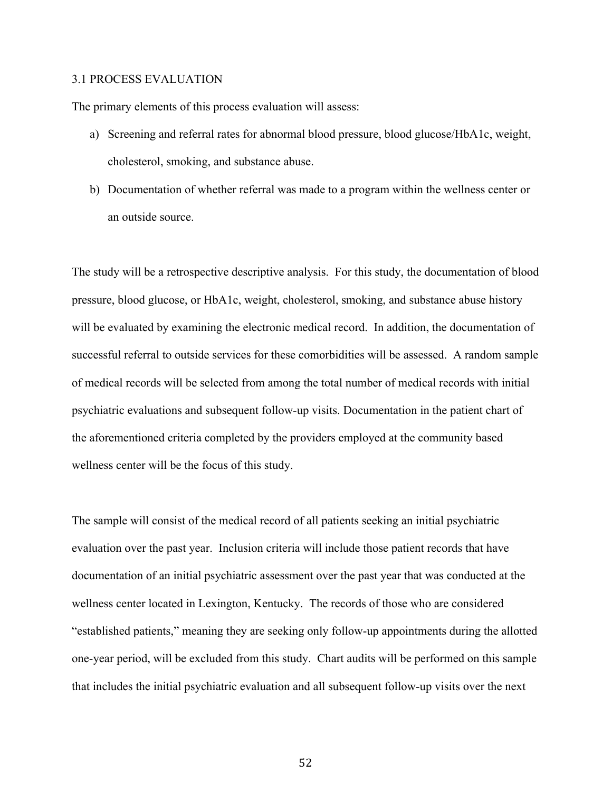#### 3.1 PROCESS EVALUATION

The primary elements of this process evaluation will assess:

- a) Screening and referral rates for abnormal blood pressure, blood glucose/HbA1c, weight, cholesterol, smoking, and substance abuse.
- b) Documentation of whether referral was made to a program within the wellness center or an outside source.

The study will be a retrospective descriptive analysis. For this study, the documentation of blood pressure, blood glucose, or HbA1c, weight, cholesterol, smoking, and substance abuse history will be evaluated by examining the electronic medical record. In addition, the documentation of successful referral to outside services for these comorbidities will be assessed. A random sample of medical records will be selected from among the total number of medical records with initial psychiatric evaluations and subsequent follow-up visits. Documentation in the patient chart of the aforementioned criteria completed by the providers employed at the community based wellness center will be the focus of this study.

The sample will consist of the medical record of all patients seeking an initial psychiatric evaluation over the past year. Inclusion criteria will include those patient records that have documentation of an initial psychiatric assessment over the past year that was conducted at the wellness center located in Lexington, Kentucky. The records of those who are considered "established patients," meaning they are seeking only follow-up appointments during the allotted one-year period, will be excluded from this study. Chart audits will be performed on this sample that includes the initial psychiatric evaluation and all subsequent follow-up visits over the next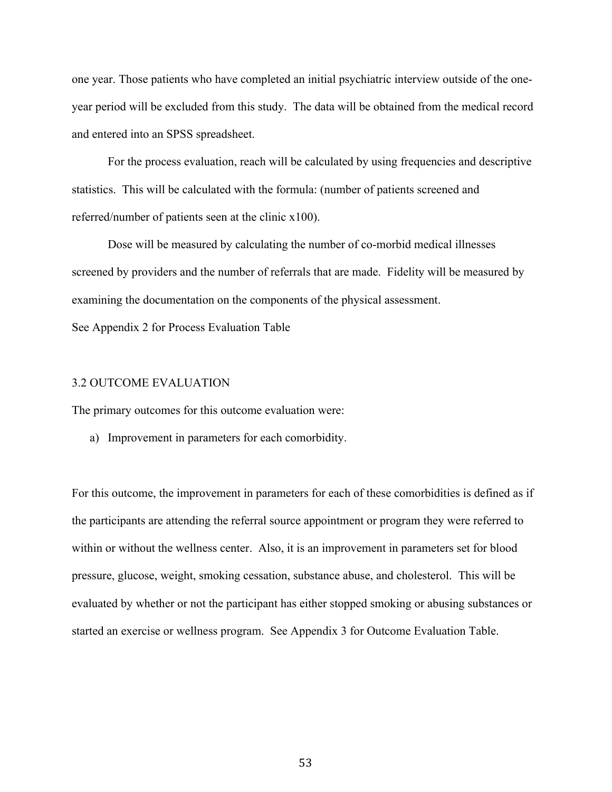one year. Those patients who have completed an initial psychiatric interview outside of the oneyear period will be excluded from this study. The data will be obtained from the medical record and entered into an SPSS spreadsheet.

For the process evaluation, reach will be calculated by using frequencies and descriptive statistics. This will be calculated with the formula: (number of patients screened and referred/number of patients seen at the clinic x100).

Dose will be measured by calculating the number of co-morbid medical illnesses screened by providers and the number of referrals that are made. Fidelity will be measured by examining the documentation on the components of the physical assessment.

See Appendix 2 for Process Evaluation Table

#### 3.2 OUTCOME EVALUATION

The primary outcomes for this outcome evaluation were:

a) Improvement in parameters for each comorbidity.

For this outcome, the improvement in parameters for each of these comorbidities is defined as if the participants are attending the referral source appointment or program they were referred to within or without the wellness center. Also, it is an improvement in parameters set for blood pressure, glucose, weight, smoking cessation, substance abuse, and cholesterol. This will be evaluated by whether or not the participant has either stopped smoking or abusing substances or started an exercise or wellness program. See Appendix 3 for Outcome Evaluation Table.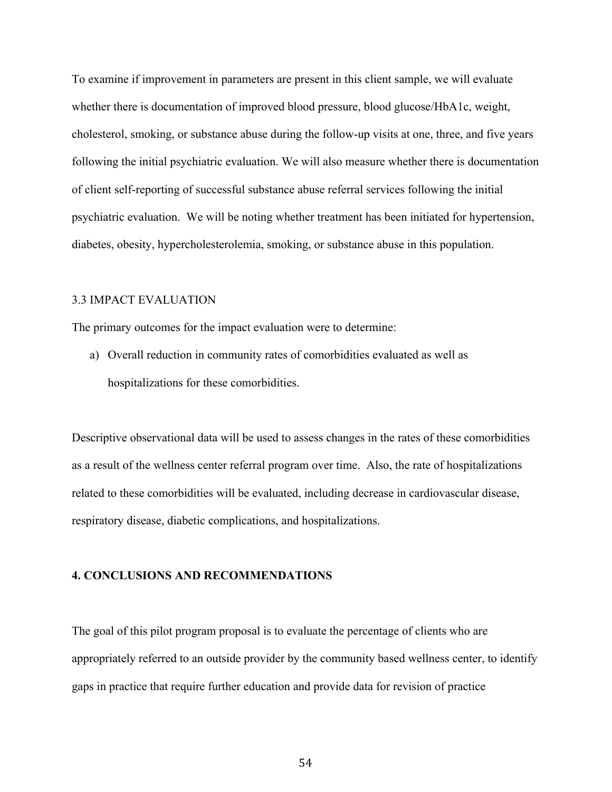To examine if improvement in parameters are present in this client sample, we will evaluate whether there is documentation of improved blood pressure, blood glucose/HbA1c, weight, cholesterol, smoking, or substance abuse during the follow-up visits at one, three, and five years following the initial psychiatric evaluation. We will also measure whether there is documentation of client self-reporting of successful substance abuse referral services following the initial psychiatric evaluation. We will be noting whether treatment has been initiated for hypertension, diabetes, obesity, hypercholesterolemia, smoking, or substance abuse in this population.

#### 3.3 IMPACT EVALUATION

The primary outcomes for the impact evaluation were to determine:

a) Overall reduction in community rates of comorbidities evaluated as well as hospitalizations for these comorbidities.

Descriptive observational data will be used to assess changes in the rates of these comorbidities as a result of the wellness center referral program over time. Also, the rate of hospitalizations related to these comorbidities will be evaluated, including decrease in cardiovascular disease, respiratory disease, diabetic complications, and hospitalizations.

#### **4. CONCLUSIONS AND RECOMMENDATIONS**

The goal of this pilot program proposal is to evaluate the percentage of clients who are appropriately referred to an outside provider by the community based wellness center, to identify gaps in practice that require further education and provide data for revision of practice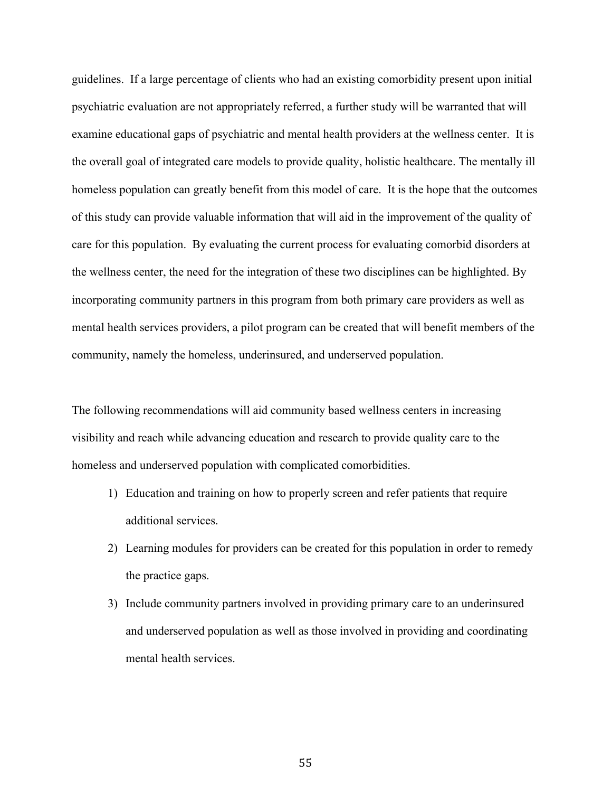guidelines. If a large percentage of clients who had an existing comorbidity present upon initial psychiatric evaluation are not appropriately referred, a further study will be warranted that will examine educational gaps of psychiatric and mental health providers at the wellness center. It is the overall goal of integrated care models to provide quality, holistic healthcare. The mentally ill homeless population can greatly benefit from this model of care. It is the hope that the outcomes of this study can provide valuable information that will aid in the improvement of the quality of care for this population. By evaluating the current process for evaluating comorbid disorders at the wellness center, the need for the integration of these two disciplines can be highlighted. By incorporating community partners in this program from both primary care providers as well as mental health services providers, a pilot program can be created that will benefit members of the community, namely the homeless, underinsured, and underserved population.

The following recommendations will aid community based wellness centers in increasing visibility and reach while advancing education and research to provide quality care to the homeless and underserved population with complicated comorbidities.

- 1) Education and training on how to properly screen and refer patients that require additional services.
- 2) Learning modules for providers can be created for this population in order to remedy the practice gaps.
- 3) Include community partners involved in providing primary care to an underinsured and underserved population as well as those involved in providing and coordinating mental health services.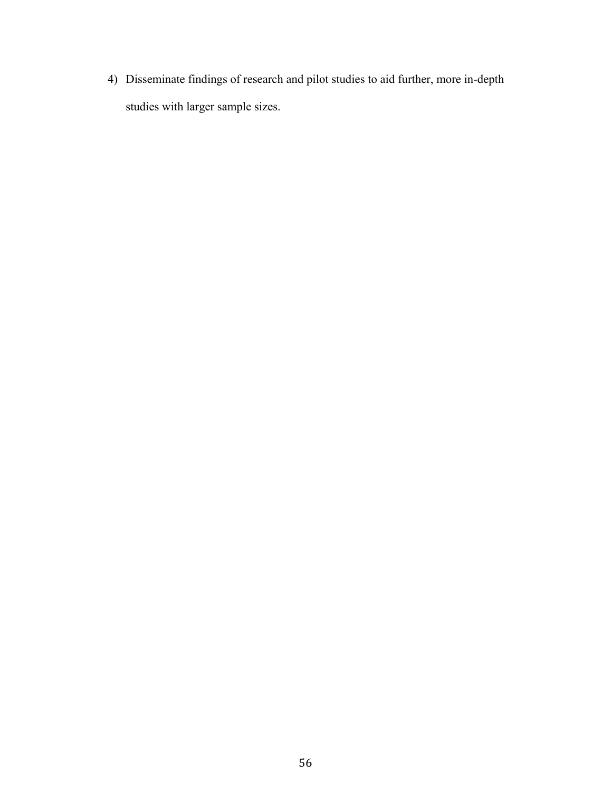4) Disseminate findings of research and pilot studies to aid further, more in-depth studies with larger sample sizes.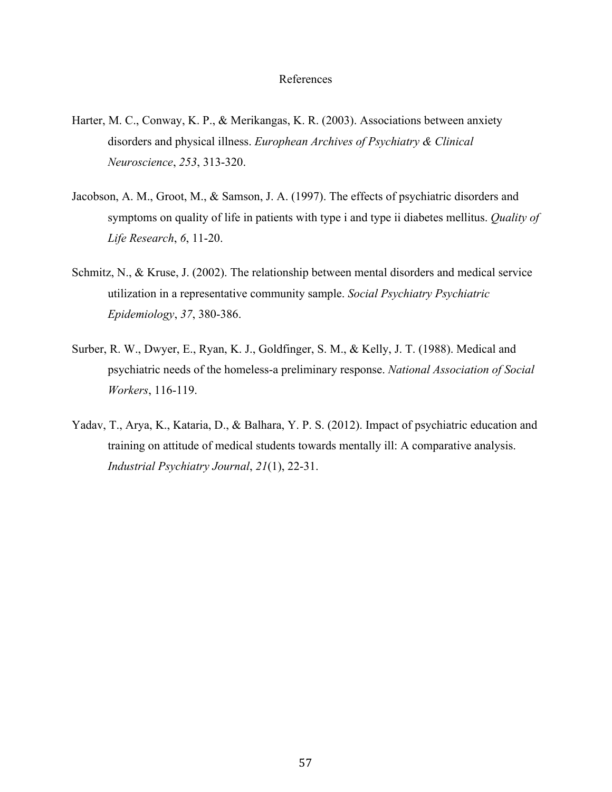#### References

- Harter, M. C., Conway, K. P., & Merikangas, K. R. (2003). Associations between anxiety disorders and physical illness. *Europhean Archives of Psychiatry & Clinical Neuroscience*, *253*, 313-320.
- Jacobson, A. M., Groot, M., & Samson, J. A. (1997). The effects of psychiatric disorders and symptoms on quality of life in patients with type i and type ii diabetes mellitus. *Quality of Life Research*, *6*, 11-20.
- Schmitz, N., & Kruse, J. (2002). The relationship between mental disorders and medical service utilization in a representative community sample. *Social Psychiatry Psychiatric Epidemiology*, *37*, 380-386.
- Surber, R. W., Dwyer, E., Ryan, K. J., Goldfinger, S. M., & Kelly, J. T. (1988). Medical and psychiatric needs of the homeless-a preliminary response. *National Association of Social Workers*, 116-119.
- Yadav, T., Arya, K., Kataria, D., & Balhara, Y. P. S. (2012). Impact of psychiatric education and training on attitude of medical students towards mentally ill: A comparative analysis. *Industrial Psychiatry Journal*, *21*(1), 22-31.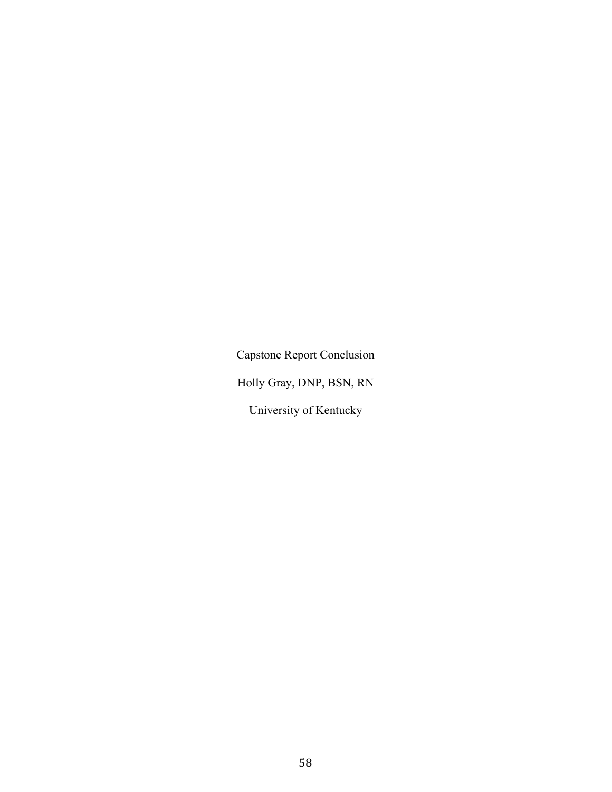Capstone Report Conclusion Holly Gray, DNP, BSN, RN University of Kentucky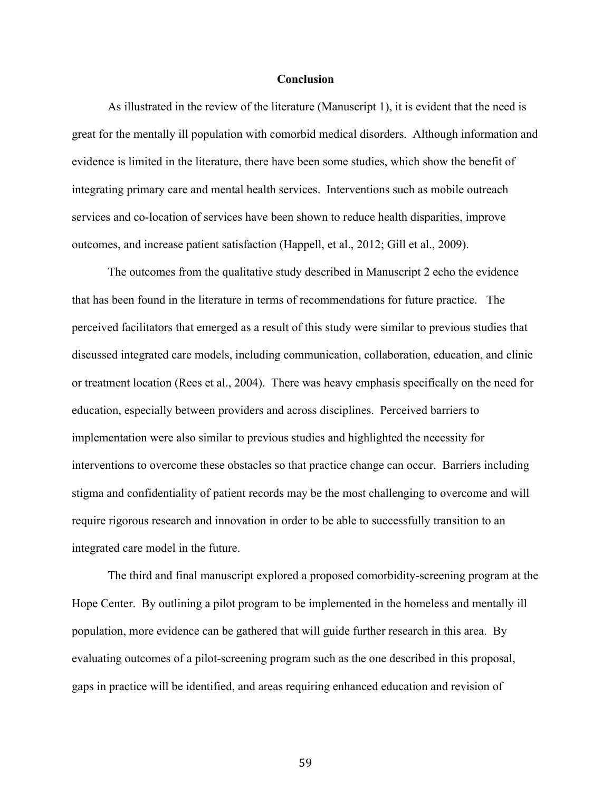#### **Conclusion**

As illustrated in the review of the literature (Manuscript 1), it is evident that the need is great for the mentally ill population with comorbid medical disorders. Although information and evidence is limited in the literature, there have been some studies, which show the benefit of integrating primary care and mental health services. Interventions such as mobile outreach services and co-location of services have been shown to reduce health disparities, improve outcomes, and increase patient satisfaction (Happell, et al., 2012; Gill et al., 2009).

The outcomes from the qualitative study described in Manuscript 2 echo the evidence that has been found in the literature in terms of recommendations for future practice. The perceived facilitators that emerged as a result of this study were similar to previous studies that discussed integrated care models, including communication, collaboration, education, and clinic or treatment location (Rees et al., 2004). There was heavy emphasis specifically on the need for education, especially between providers and across disciplines. Perceived barriers to implementation were also similar to previous studies and highlighted the necessity for interventions to overcome these obstacles so that practice change can occur. Barriers including stigma and confidentiality of patient records may be the most challenging to overcome and will require rigorous research and innovation in order to be able to successfully transition to an integrated care model in the future.

The third and final manuscript explored a proposed comorbidity-screening program at the Hope Center. By outlining a pilot program to be implemented in the homeless and mentally ill population, more evidence can be gathered that will guide further research in this area. By evaluating outcomes of a pilot-screening program such as the one described in this proposal, gaps in practice will be identified, and areas requiring enhanced education and revision of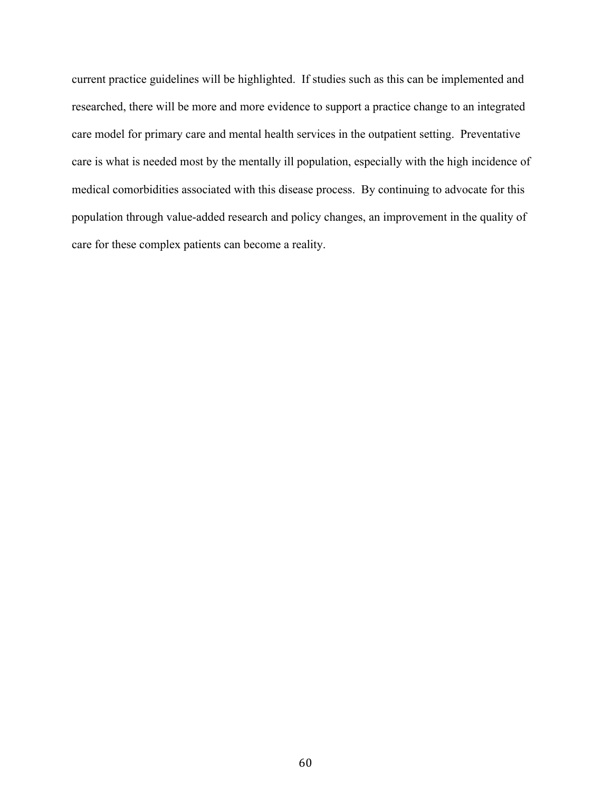current practice guidelines will be highlighted. If studies such as this can be implemented and researched, there will be more and more evidence to support a practice change to an integrated care model for primary care and mental health services in the outpatient setting. Preventative care is what is needed most by the mentally ill population, especially with the high incidence of medical comorbidities associated with this disease process. By continuing to advocate for this population through value-added research and policy changes, an improvement in the quality of care for these complex patients can become a reality.